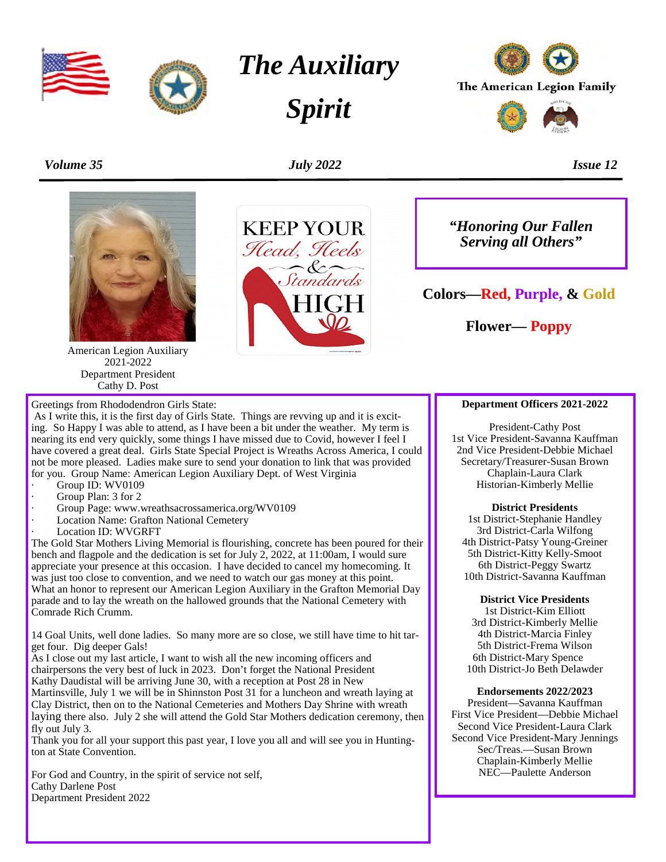



*The Auxiliary*

*Spirit*



*Volume 35 July 2022 Issue 12*

**KEEP YOUR** Head, Heels

Standards



American Legion Auxiliary 2021-2022 Department President Cathy D. Post



As I write this, it is the first day of Girls State. Things are revving up and it is exciting. So Happy I was able to attend, as I have been a bit under the weather. My term is nearing its end very quickly, some things I have missed due to Covid, however I feel I have covered a great deal. Girls State Special Project is Wreaths Across America, I could not be more pleased. Ladies make sure to send your donation to link that was provided for you. Group Name: American Legion Auxiliary Dept. of West Virginia

- Group ID: WV0109
- Group Plan: 3 for 2
- Group Page: www.wreathsacrossamerica.org/WV0109
- Location Name: Grafton National Cemetery
- Location ID: WVGRFT

The Gold Star Mothers Living Memorial is flourishing, concrete has been poured for their bench and flagpole and the dedication is set for July 2, 2022, at 11:00am, I would sure appreciate your presence at this occasion. I have decided to cancel my homecoming. It was just too close to convention, and we need to watch our gas money at this point. What an honor to represent our American Legion Auxiliary in the Grafton Memorial Day parade and to lay the wreath on the hallowed grounds that the National Cemetery with Comrade Rich Crumm.

14 Goal Units, well done ladies. So many more are so close, we still have time to hit target four. Dig deeper Gals!

As I close out my last article, I want to wish all the new incoming officers and chairpersons the very best of luck in 2023. Don't forget the National President Kathy Daudistal will be arriving June 30, with a reception at Post 28 in New Martinsville, July 1 we will be in Shinnston Post 31 for a luncheon and wreath laying at Clay District, then on to the National Cemeteries and Mothers Day Shrine with wreath laying there also. July 2 she will attend the Gold Star Mothers dedication ceremony, then fly out July 3.

Thank you for all your support this past year, I love you all and will see you in Huntington at State Convention.

For God and Country, in the spirit of service not self, Cathy Darlene Post Department President 2022

*"Honoring Our Fallen Serving all Others"*

**Colors—Red, Purple, & Gold**

**Flower— Poppy**

#### **Department Officers 2021-2022**

President-Cathy Post 1st Vice President-Savanna Kauffman 2nd Vice President-Debbie Michael Secretary/Treasurer-Susan Brown Chaplain-Laura Clark Historian-Kimberly Mellie

**District Presidents** 1st District-Stephanie Handley 3rd District-Carla Wilfong 4th District-Patsy Young-Greiner 5th District-Kitty Kelly-Smoot 6th District-Peggy Swartz 10th District-Savanna Kauffman

**District Vice Presidents** 1st District-Kim Elliott 3rd District-Kimberly Mellie 4th District-Marcia Finley 5th District-Frema Wilson 6th District-Mary Spence 10th District-Jo Beth Delawder

#### **Endorsements 2022/2023**

President—Savanna Kauffman First Vice President—Debbie Michael Second Vice President-Laura Clark Second Vice President-Mary Jennings Sec/Treas.—Susan Brown Chaplain-Kimberly Mellie NEC—Paulette Anderson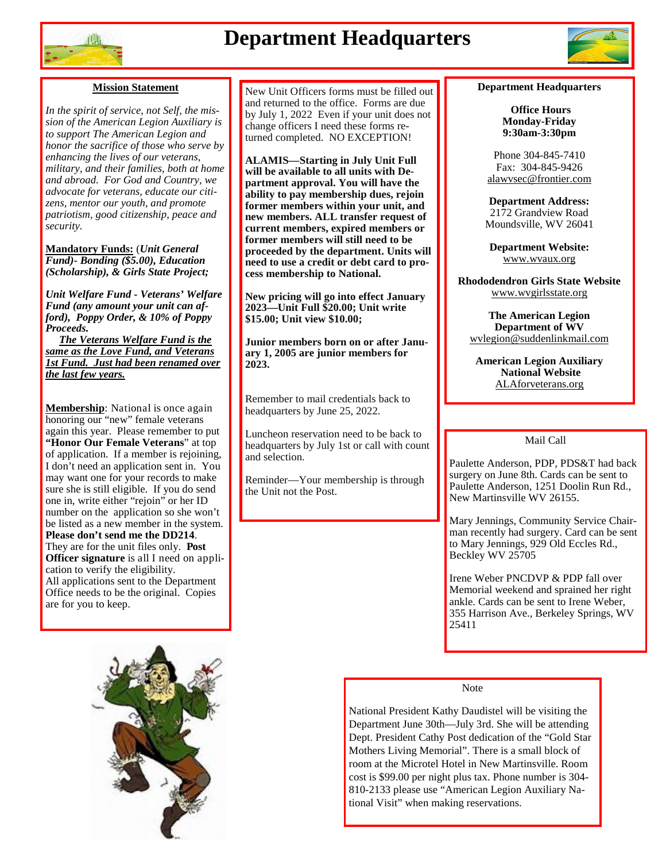

# **Department Headquarters**



#### **Mission Statement**

*In the spirit of service, not Self, the mission of the American Legion Auxiliary is to support The American Legion and honor the sacrifice of those who serve by enhancing the lives of our veterans, military, and their families, both at home and abroad. For God and Country, we advocate for veterans, educate our citizens, mentor our youth, and promote patriotism, good citizenship, peace and security.*

**Mandatory Funds:** (*Unit General Fund)- Bonding (\$5.00), Education (Scholarship), & Girls State Project;*

*Unit Welfare Fund - Veterans' Welfare Fund (any amount your unit can afford), Poppy Order, & 10% of Poppy Proceeds.*

*The Veterans Welfare Fund is the same as the Love Fund, and Veterans 1st Fund. Just had been renamed over the last few years.*

**Membership**: National is once again honoring our "new" female veterans again this year. Please remember to put **"Honor Our Female Veterans**" at top of application. If a member is rejoining, I don't need an application sent in. You may want one for your records to make sure she is still eligible. If you do send one in, write either "rejoin" or her ID number on the application so she won't be listed as a new member in the system. **Please don't send me the DD214**. They are for the unit files only. **Post Officer signature** is all I need on application to verify the eligibility. All applications sent to the Department Office needs to be the original. Copies are for you to keep.



New Unit Officers forms must be filled out and returned to the office. Forms are due by July 1, 2022 Even if your unit does not change officers I need these forms returned completed. NO EXCEPTION!

**ALAMIS—Starting in July Unit Full will be available to all units with Department approval. You will have the ability to pay membership dues, rejoin former members within your unit, and new members. ALL transfer request of current members, expired members or former members will still need to be proceeded by the department. Units will need to use a credit or debt card to process membership to National.**

**New pricing will go into effect January 2023—Unit Full \$20.00; Unit write \$15.00; Unit view \$10.00;**

**Junior members born on or after January 1, 2005 are junior members for 2023.**

Remember to mail credentials back to headquarters by June 25, 2022.

Luncheon reservation need to be back to headquarters by July 1st or call with count and selection.

Reminder—Your membership is through the Unit not the Post.

#### **Department Headquarters**

**Office Hours Monday-Friday 9:30am-3:30pm**

Phone 304-845-7410 Fax: 304-845-9426 alawvsec@frontier.com

**Department Address:** 2172 Grandview Road Moundsville, WV 26041

**Department Website:** www.wvaux.org

**Rhododendron Girls State Website** www.wvgirlsstate.org

**The American Legion Department of WV** wvlegion@suddenlinkmail.com

**American Legion Auxiliary National Website** ALAforveterans.org

#### Mail Call

Paulette Anderson, PDP, PDS&T had back surgery on June 8th. Cards can be sent to Paulette Anderson, 1251 Doolin Run Rd., New Martinsville WV 26155.

Mary Jennings, Community Service Chairman recently had surgery. Card can be sent to Mary Jennings, 929 Old Eccles Rd., Beckley WV 25705

Irene Weber PNCDVP & PDP fall over Memorial weekend and sprained her right ankle. Cards can be sent to Irene Weber, 355 Harrison Ave., Berkeley Springs, WV 25411

#### Note

National President Kathy Daudistel will be visiting the Department June 30th—July 3rd. She will be attending Dept. President Cathy Post dedication of the "Gold Star Mothers Living Memorial". There is a small block of room at the Microtel Hotel in New Martinsville. Room cost is \$99.00 per night plus tax. Phone number is 304- 810-2133 please use "American Legion Auxiliary National Visit" when making reservations.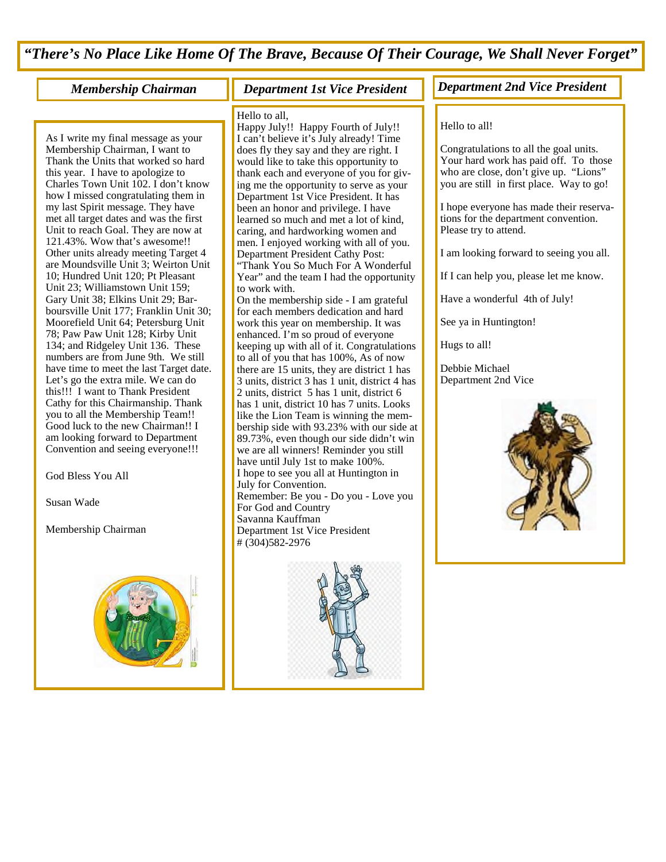*"There's No Place Like Home Of The Brave, Because Of Their Courage, We Shall Never Forget"*

As I write my final message as your Membership Chairman, I want to Thank the Units that worked so hard this year. I have to apologize to Charles Town Unit 102. I don't know how I missed congratulating them in my last Spirit message. They have met all target dates and was the first Unit to reach Goal. They are now at 121.43%. Wow that's awesome!! Other units already meeting Target 4 are Moundsville Unit 3; Weirton Unit 10; Hundred Unit 120; Pt Pleasant Unit 23; Williamstown Unit 159; Gary Unit 38; Elkins Unit 29; Barboursville Unit 177; Franklin Unit 30; Moorefield Unit 64; Petersburg Unit 78; Paw Paw Unit 128; Kirby Unit 134; and Ridgeley Unit 136. These numbers are from June 9th. We still have time to meet the last Target date. Let's go the extra mile. We can do this!!! I want to Thank President Cathy for this Chairmanship. Thank you to all the Membership Team!! Good luck to the new Chairman!! I am looking forward to Department Convention and seeing everyone!!!

God Bless You All

Susan Wade

Membership Chairman



#### Hello to all,

Happy July!! Happy Fourth of July!! I can't believe it's July already! Time does fly they say and they are right. I would like to take this opportunity to thank each and everyone of you for giving me the opportunity to serve as your Department 1st Vice President. It has been an honor and privilege. I have learned so much and met a lot of kind, caring, and hardworking women and men. I enjoyed working with all of you. Department President Cathy Post: "Thank You So Much For A Wonderful Year" and the team I had the opportunity to work with.

On the membership side - I am grateful for each members dedication and hard work this year on membership. It was enhanced. I'm so proud of everyone keeping up with all of it. Congratulations to all of you that has 100%, As of now there are 15 units, they are district 1 has 3 units, district 3 has 1 unit, district 4 has 2 units, district 5 has 1 unit, district 6 has 1 unit, district 10 has 7 units. Looks like the Lion Team is winning the membership side with 93.23% with our side at 89.73%, even though our side didn't win we are all winners! Reminder you still have until July 1st to make 100%. I hope to see you all at Huntington in July for Convention. Remember: Be you - Do you - Love you For God and Country Savanna Kauffman Department 1st Vice President # (304)582-2976



#### *Membership Chairman Department 1st Vice President Department 2nd Vice President*

#### Hello to all!

Congratulations to all the goal units. Your hard work has paid off. To those who are close, don't give up. "Lions" you are still in first place. Way to go!

I hope everyone has made their reservations for the department convention. Please try to attend.

I am looking forward to seeing you all.

If I can help you, please let me know.

Have a wonderful 4th of July!

See ya in Huntington!

Hugs to all!

Debbie Michael Department 2nd Vice

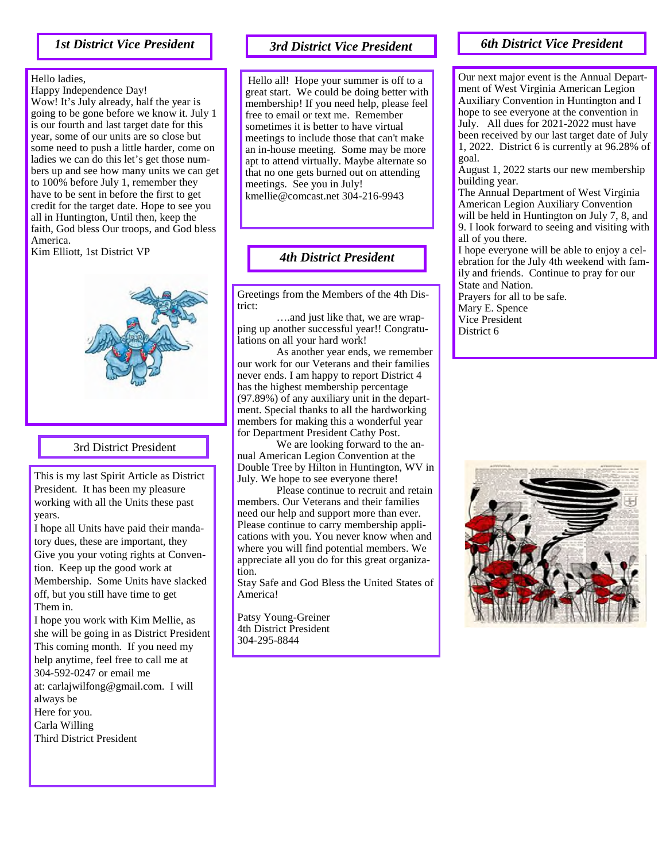#### *1st District Vice President*

#### Hello ladies,

Happy Independence Day! Wow! It's July already, half the year is going to be gone before we know it. July 1 is our fourth and last target date for this year, some of our units are so close but some need to push a little harder, come on ladies we can do this let's get those numbers up and see how many units we can get to 100% before July 1, remember they have to be sent in before the first to get credit for the target date. Hope to see you all in Huntington, Until then, keep the faith, God bless Our troops, and God bless America.

Kim Elliott, 1st District VP



#### 3rd District President

This is my last Spirit Article as District President. It has been my pleasure working with all the Units these past years.

I hope all Units have paid their mandatory dues, these are important, they Give you your voting rights at Convention. Keep up the good work at Membership. Some Units have slacked off, but you still have time to get Them in.

I hope you work with Kim Mellie, as she will be going in as District President This coming month. If you need my help anytime, feel free to call me at 304-592-0247 or email me at: carlajwilfong@gmail.com. I will always be Here for you. Carla Willing Third District President

#### *3rd District Vice President*

Hello all! Hope your summer is off to a great start. We could be doing better with membership! If you need help, please feel free to email or text me. Remember sometimes it is better to have virtual meetings to include those that can't make an in-house meeting. Some may be more apt to attend virtually. Maybe alternate so that no one gets burned out on attending meetings. See you in July! kmellie@comcast.net 304-216-9943

*4th District President*

Greetings from the Members of the 4th District:

….and just like that, we are wrapping up another successful year!! Congratulations on all your hard work!

As another year ends, we remember our work for our Veterans and their families never ends. I am happy to report District 4 has the highest membership percentage (97.89%) of any auxiliary unit in the department. Special thanks to all the hardworking members for making this a wonderful year for Department President Cathy Post.

We are looking forward to the annual American Legion Convention at the Double Tree by Hilton in Huntington, WV in July. We hope to see everyone there!

Please continue to recruit and retain members. Our Veterans and their families need our help and support more than ever. Please continue to carry membership applications with you. You never know when and where you will find potential members. We appreciate all you do for this great organization.

Stay Safe and God Bless the United States of America!

Patsy Young-Greiner 4th District President 304-295-8844

#### *6th District Vice President*

Our next major event is the Annual Department of West Virginia American Legion Auxiliary Convention in Huntington and I hope to see everyone at the convention in July. All dues for 2021-2022 must have been received by our last target date of July 1, 2022. District 6 is currently at 96.28% of goal.

August 1, 2022 starts our new membership building year.

The Annual Department of West Virginia American Legion Auxiliary Convention will be held in Huntington on July 7, 8, and 9. I look forward to seeing and visiting with all of you there.

I hope everyone will be able to enjoy a celebration for the July 4th weekend with family and friends. Continue to pray for our State and Nation. Prayers for all to be safe. Mary E. Spence Vice President District 6

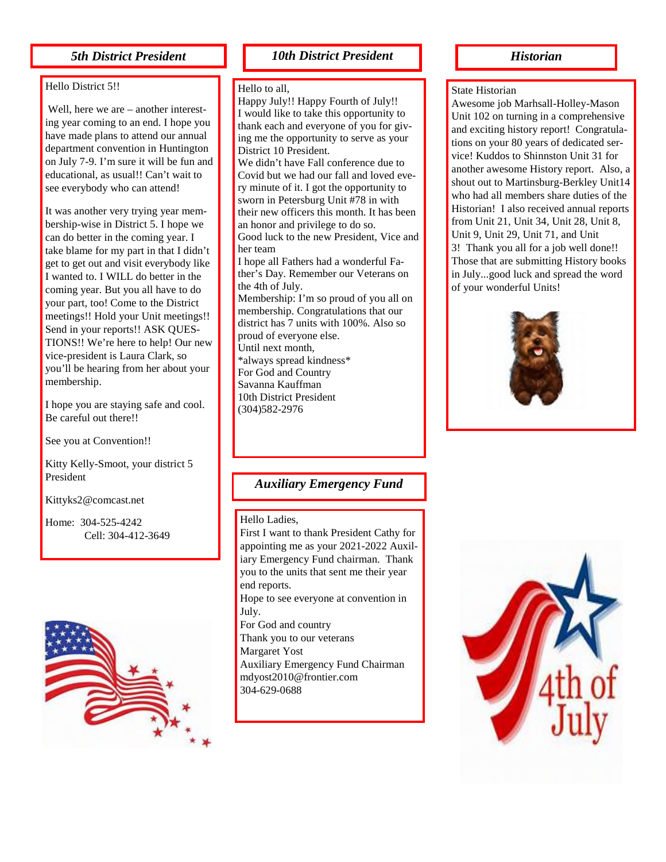#### Hello District 5!!

Well, here we are – another interesting year coming to an end. I hope you have made plans to attend our annual department convention in Huntington on July 7-9. I'm sure it will be fun and educational, as usual!! Can't wait to see everybody who can attend!

It was another very trying year membership-wise in District 5. I hope we can do better in the coming year. I take blame for my part in that I didn't get to get out and visit everybody like I wanted to. I WILL do better in the coming year. But you all have to do your part, too! Come to the District meetings!! Hold your Unit meetings!! Send in your reports!! ASK QUES-TIONS!! We're here to help! Our new vice-president is Laura Clark, so you'll be hearing from her about your membership.

I hope you are staying safe and cool. Be careful out there!!

See you at Convention!!

Kitty Kelly-Smoot, your district 5 President

Kittyks2@comcast.net

Home: 304-525-4242 Cell: 304-412-3649



#### *5th District President 10th District President*

#### Hello to all,

Happy July!! Happy Fourth of July!! I would like to take this opportunity to thank each and everyone of you for giving me the opportunity to serve as your District 10 President. We didn't have Fall conference due to Covid but we had our fall and loved every minute of it. I got the opportunity to sworn in Petersburg Unit #78 in with their new officers this month. It has been an honor and privilege to do so. Good luck to the new President, Vice and her team I hope all Fathers had a wonderful Father's Day. Remember our Veterans on the 4th of July. Membership: I'm so proud of you all on membership. Congratulations that our district has 7 units with 100%. Also so proud of everyone else. Until next month, \*always spread kindness\* For God and Country Savanna Kauffman 10th District President (304)582-2976

#### *Auxiliary Emergency Fund*

#### Hello Ladies,

First I want to thank President Cathy for appointing me as your 2021-2022 Auxiliary Emergency Fund chairman. Thank you to the units that sent me their year end reports. Hope to see everyone at convention in July. For God and country Thank you to our veterans Margaret Yost Auxiliary Emergency Fund Chairman mdyost2010@frontier.com 304-629-0688

#### *Historian*

#### State Historian

Awesome job Marhsall-Holley-Mason Unit 102 on turning in a comprehensive and exciting history report! Congratulations on your 80 years of dedicated service! Kuddos to Shinnston Unit 31 for another awesome History report. Also, a shout out to Martinsburg-Berkley Unit14 who had all members share duties of the Historian! I also received annual reports from Unit 21, Unit 34, Unit 28, Unit 8, Unit 9, Unit 29, Unit 71, and Unit 3! Thank you all for a job well done!! Those that are submitting History books in July...good luck and spread the word of your wonderful Units!



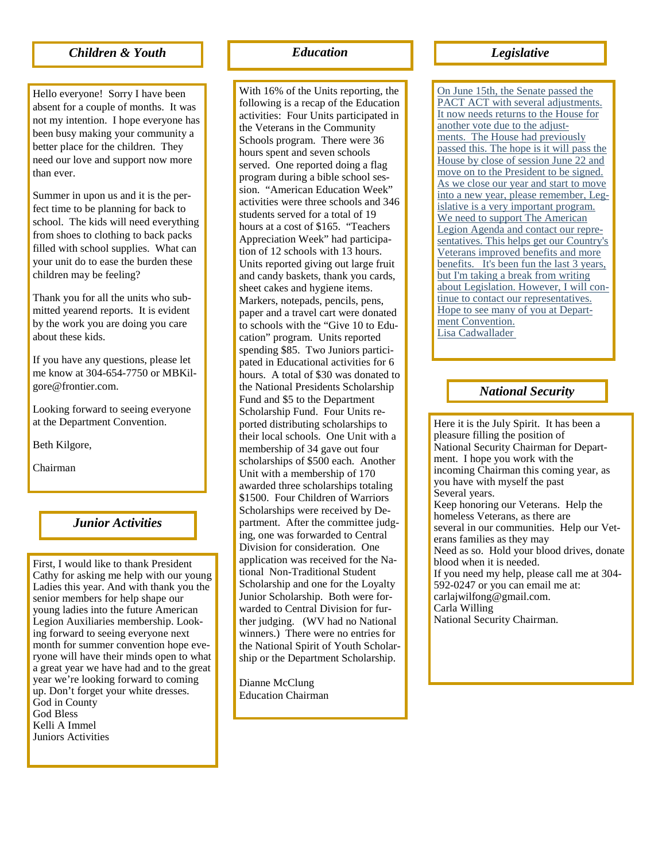#### *Children & Youth*

Hello everyone! Sorry I have been absent for a couple of months. It was not my intention. I hope everyone has been busy making your community a better place for the children. They need our love and support now more than ever.

Summer in upon us and it is the perfect time to be planning for back to school. The kids will need everything from shoes to clothing to back packs filled with school supplies. What can your unit do to ease the burden these children may be feeling?

Thank you for all the units who submitted yearend reports. It is evident by the work you are doing you care about these kids.

If you have any questions, please let me know at 304-654-7750 or MBKilgore@frontier.com.

Looking forward to seeing everyone at the Department Convention.

Beth Kilgore,

Chairman

#### *Junior Activities*

First, I would like to thank President Cathy for asking me help with our young Ladies this year. And with thank you the senior members for help shape our young ladies into the future American Legion Auxiliaries membership. Looking forward to seeing everyone next month for summer convention hope everyone will have their minds open to what a great year we have had and to the great year we're looking forward to coming up. Don't forget your white dresses. God in County God Bless Kelli A Immel Juniors Activities

#### *Education Legislative*

With 16% of the Units reporting, the following is a recap of the Education activities: Four Units participated in the Veterans in the Community Schools program. There were 36 hours spent and seven schools served. One reported doing a flag program during a bible school session. "American Education Week" activities were three schools and 346 students served for a total of 19 hours at a cost of \$165. "Teachers Appreciation Week" had participation of 12 schools with 13 hours. Units reported giving out large fruit and candy baskets, thank you cards, sheet cakes and hygiene items. Markers, notepads, pencils, pens, paper and a travel cart were donated to schools with the "Give 10 to Education" program. Units reported spending \$85. Two Juniors participated in Educational activities for 6 hours. A total of \$30 was donated to the National Presidents Scholarship Fund and \$5 to the Department Scholarship Fund. Four Units reported distributing scholarships to their local schools. One Unit with a membership of 34 gave out four scholarships of \$500 each. Another Unit with a membership of 170 awarded three scholarships totaling \$1500. Four Children of Warriors Scholarships were received by Department. After the committee judging, one was forwarded to Central Division for consideration. One application was received for the National Non-Traditional Student Scholarship and one for the Loyalty Junior Scholarship. Both were forwarded to Central Division for further judging. (WV had no National winners.) There were no entries for the National Spirit of Youth Scholarship or the Department Scholarship.

Dianne McClung Education Chairman

On June 15th, the Senate passed the PACT ACT with several adjustments. It now needs returns to the House for another vote due to the adjustments. The House had previously passed this. The hope is it will pass the House by close of session June 22 and move on to the President to be signed. As we close our year and start to move into a new year, please remember, Legislative is a very important program. We need to support The American Legion Agenda and contact our representatives. This helps get our Country's Veterans improved benefits and more benefits. It's been fun the last 3 years, but I'm taking a break from writing about Legislation. However, I will continue to contact our representatives. Hope to see many of you at Department Convention. Lisa Cadwallader

#### *National Security*

Here it is the July Spirit. It has been a pleasure filling the position of National Security Chairman for Department. I hope you work with the incoming Chairman this coming year, as you have with myself the past Several years. Keep honoring our Veterans. Help the homeless Veterans, as there are several in our communities. Help our Veterans families as they may Need as so. Hold your blood drives, donate blood when it is needed. If you need my help, please call me at 304- 592-0247 or you can email me at: carlajwilfong@gmail.com. Carla Willing National Security Chairman.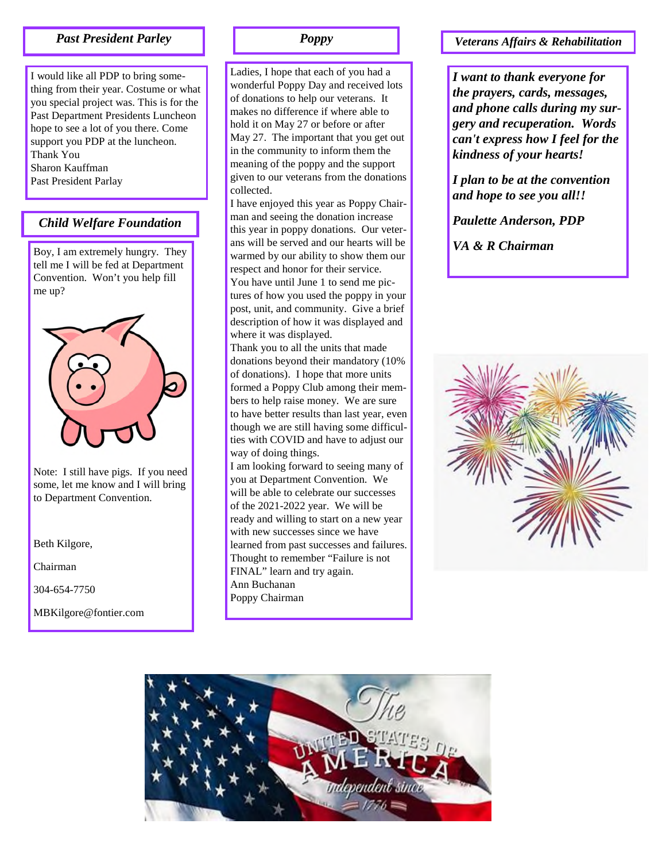I would like all PDP to bring something from their year. Costume or what you special project was. This is for the Past Department Presidents Luncheon hope to see a lot of you there. Come support you PDP at the luncheon. Thank You Sharon Kauffman Past President Parlay

#### *Child Welfare Foundation*

Boy, I am extremely hungry. They tell me I will be fed at Department Convention. Won't you help fill me up?



Note: I still have pigs. If you need some, let me know and I will bring to Department Convention.

Beth Kilgore,

Chairman

304-654-7750

MBKilgore@fontier.com

Ladies, I hope that each of you had a wonderful Poppy Day and received lots of donations to help our veterans. It makes no difference if where able to hold it on May 27 or before or after May 27. The important that you get out in the community to inform them the meaning of the poppy and the support given to our veterans from the donations collected.

I have enjoyed this year as Poppy Chairman and seeing the donation increase this year in poppy donations. Our veterans will be served and our hearts will be warmed by our ability to show them our respect and honor for their service. You have until June 1 to send me pictures of how you used the poppy in your post, unit, and community. Give a brief description of how it was displayed and where it was displayed.

Thank you to all the units that made donations beyond their mandatory (10% of donations). I hope that more units formed a Poppy Club among their members to help raise money. We are sure to have better results than last year, even though we are still having some difficulties with COVID and have to adjust our way of doing things.

I am looking forward to seeing many of you at Department Convention. We will be able to celebrate our successes of the 2021-2022 year. We will be ready and willing to start on a new year with new successes since we have learned from past successes and failures. Thought to remember "Failure is not FINAL" learn and try again. Ann Buchanan Poppy Chairman

### *Past President Parley Poppy Veterans Affairs & Rehabilitation*

*I want to thank everyone for the prayers, cards, messages, and phone calls during my surgery and recuperation. Words can't express how I feel for the kindness of your hearts!*

*I plan to be at the convention and hope to see you all!!*

*Paulette Anderson, PDP*

*VA & R Chairman*



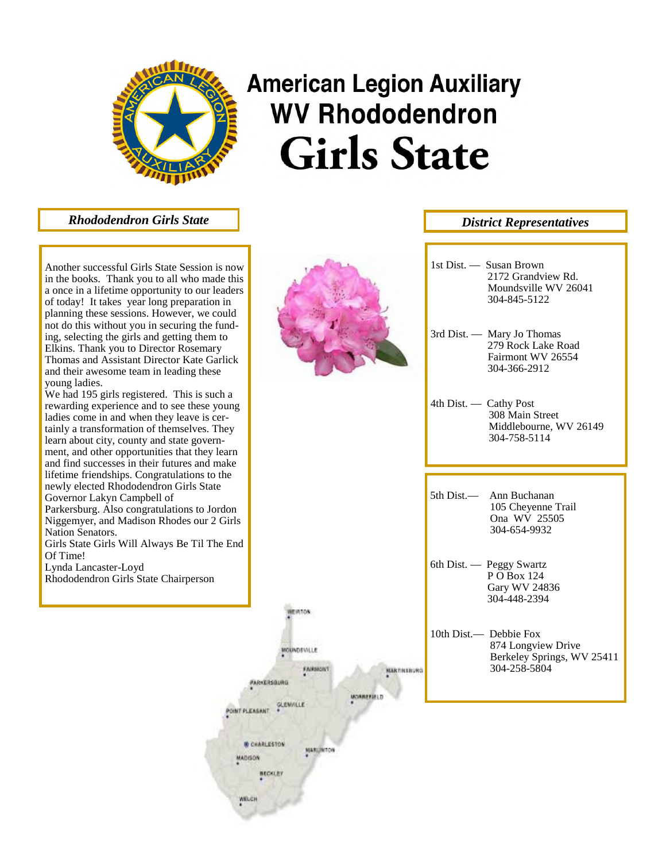

# **American Legion Auxiliary WV Rhododendron Girls State**

*Rhododendron Girls State*

Another successful Girls State Session is now in the books. Thank you to all who made this a once in a lifetime opportunity to our leaders of today! It takes year long preparation in planning these sessions. However, we could not do this without you in securing the funding, selecting the girls and getting them to Elkins. Thank you to Director Rosemary Thomas and Assistant Director Kate Garlick and their awesome team in leading these young ladies.

We had 195 girls registered. This is such a rewarding experience and to see these young ladies come in and when they leave is certainly a transformation of themselves. They learn about city, county and state government, and other opportunities that they learn and find successes in their futures and make lifetime friendships. Congratulations to the newly elected Rhododendron Girls State Governor Lakyn Campbell of

Parkersburg. Also congratulations to Jordon Niggemyer, and Madison Rhodes our 2 Girls Nation Senators.

Girls State Girls Will Always Be Til The End Of Time!

Lynda Lancaster -Loyd Rhododendron Girls State Chairperson



EVITOR

MOUNDSVILLE

**PARKERSBURG** 

POINT PLEASANT

*B CHARLESTON* 

**BECKLEY** 

MADISON

WELCH

**FAIRBIONT** 

MARGINTON

MORREFIELD

|                 | 1st Dist. $-$ Susan Brown<br>2172 Grandview Rd.<br>Moundsville WV 26041<br>304-845-5122    |
|-----------------|--------------------------------------------------------------------------------------------|
|                 | 3rd Dist. - Mary Jo Thomas<br>279 Rock Lake Road<br>Fairmont WV 26554<br>304-366-2912      |
|                 | 4th Dist. — Cathy Post<br>308 Main Street<br>Middlebourne, WV 26149<br>304-758-5114        |
|                 |                                                                                            |
|                 | 5th Dist.— Ann Buchanan<br>105 Cheyenne Trail<br>Ona WV 25505<br>304-654-9932              |
|                 | 6th Dist. — Peggy Swartz<br>P O Box 124<br><b>Gary WV 24836</b><br>304-448-2394            |
| <b>MKTRIBUR</b> | 10th Dist.- Debbie Fox<br>874 Longview Drive<br>Berkeley Springs, WV 25411<br>304-258-5804 |

*District Representatives*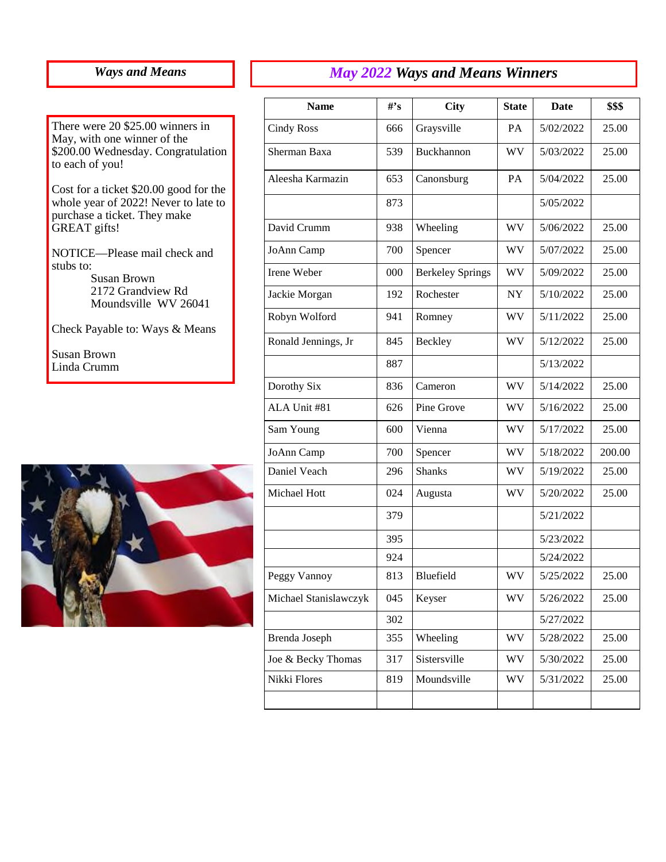## *Ways and Means*

There were 20 \$25.00 winners in May, with one winner of the \$200.00 Wednesday. Congratulation to each of you!

Cost for a ticket \$20.00 good for the whole year of 2022! Never to late to purchase a ticket. They make GREAT gifts!

NOTICE—Please mail check and stubs to: Susan Brown 2172 Grandview Rd

Moundsville WV 26041

Check Payable to: Ways & Means

Susan Brown Linda Crumm



| <b>Name</b>           | $H^{\bullet}$ s | <b>City</b>             | <b>State</b> | Date      | \$\$\$ |
|-----------------------|-----------------|-------------------------|--------------|-----------|--------|
| <b>Cindy Ross</b>     | 666             | Graysville              | PA           | 5/02/2022 | 25.00  |
| Sherman Baxa          | 539             | Buckhannon              | WV           | 5/03/2022 | 25.00  |
| Aleesha Karmazin      | 653             | Canonsburg              | PA           | 5/04/2022 | 25.00  |
|                       | 873             |                         |              | 5/05/2022 |        |
| David Crumm           | 938             | Wheeling                | WV           | 5/06/2022 | 25.00  |
| JoAnn Camp            | 700             | Spencer                 | <b>WV</b>    | 5/07/2022 | 25.00  |
| Irene Weber           | 000             | <b>Berkeley Springs</b> | <b>WV</b>    | 5/09/2022 | 25.00  |
| Jackie Morgan         | 192             | Rochester               | NY           | 5/10/2022 | 25.00  |
| Robyn Wolford         | 941             | Romney                  | WV           | 5/11/2022 | 25.00  |
| Ronald Jennings, Jr   | 845             | Beckley                 | <b>WV</b>    | 5/12/2022 | 25.00  |
|                       | 887             |                         |              | 5/13/2022 |        |
| Dorothy Six           | 836             | Cameron                 | WV           | 5/14/2022 | 25.00  |
| ALA Unit #81          | 626             | Pine Grove              | WV           | 5/16/2022 | 25.00  |
| Sam Young             | 600             | Vienna                  | <b>WV</b>    | 5/17/2022 | 25.00  |
| JoAnn Camp            | 700             | Spencer                 | WV.          | 5/18/2022 | 200.00 |
| Daniel Veach          | 296             | <b>Shanks</b>           | WV.          | 5/19/2022 | 25.00  |
| Michael Hott          | 024             | Augusta                 | WV           | 5/20/2022 | 25.00  |
|                       | 379             |                         |              | 5/21/2022 |        |
|                       | 395             |                         |              | 5/23/2022 |        |
|                       | 924             |                         |              | 5/24/2022 |        |
| Peggy Vannoy          | 813             | Bluefield               | WV           | 5/25/2022 | 25.00  |
| Michael Stanislawczyk | 045             | Keyser                  | WV           | 5/26/2022 | 25.00  |
|                       | 302             |                         |              | 5/27/2022 |        |
| Brenda Joseph         | 355             | Wheeling                | WV           | 5/28/2022 | 25.00  |
| Joe & Becky Thomas    | 317             | Sistersville            | WV           | 5/30/2022 | 25.00  |
| Nikki Flores          | 819             | Moundsville             | <b>WV</b>    | 5/31/2022 | 25.00  |
|                       |                 |                         |              |           |        |

*May 2022 Ways and Means Winners*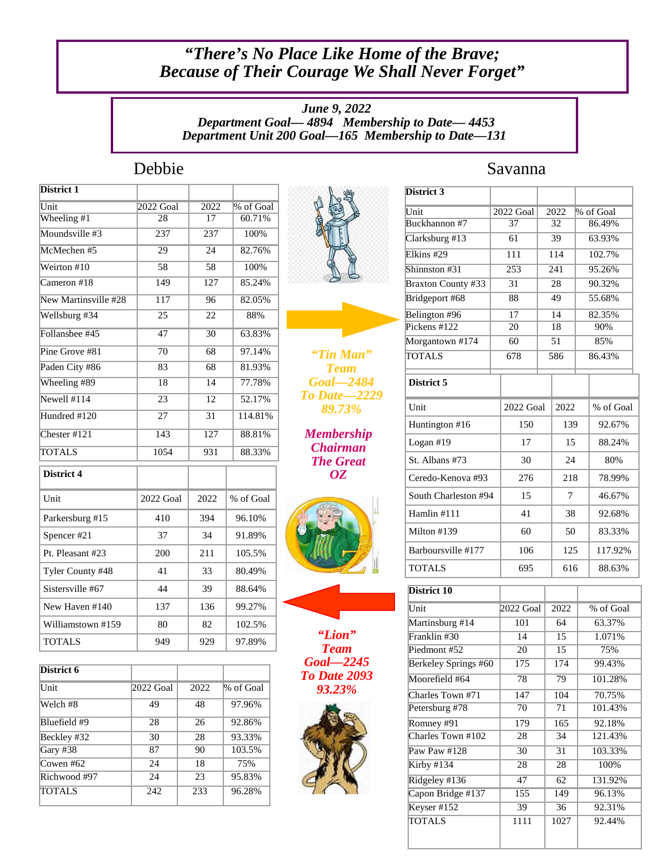## *"There's No Place Like Home of the Brave; Because of Their Courage We Shall Never Forget"*

*June 9, 2022 Department Goal— 4894 Membership to Date— 4453 Department Unit 200 Goal—165 Membership to Date—131*

| 2022 Goal        | 2022            | % of Goal |
|------------------|-----------------|-----------|
| 28               | 17              | 60.71%    |
| $\overline{237}$ | 237             | 100%      |
| 29               | $\overline{24}$ | 82.76%    |
| 58               | 58              | 100%      |
| 149              | 127             | 85.24%    |
| $\overline{117}$ | 96              | 82.05%    |
| $\overline{25}$  | $\overline{22}$ | 88%       |
| 47               | 30              | 63.83%    |
| $\overline{70}$  | 68              | 97.14%    |
| 83               | 68              | 81.93%    |
| 18               | 14              | 77.78%    |
| 23               | 12              | 52.17%    |
| $\overline{27}$  | $\overline{31}$ | 114.81%   |
| 143              | 127             | 88.81%    |
| 1054             | 931             | 88.33%    |
|                  |                 |           |
| 2022 Goal        | 2022            | % of Goal |
| 410              | 394             | 96.10%    |
| 37               | 34              | 91.89%    |
| 200              | 211             | 105.5%    |
| 41               | 33              | 80.49%    |
| 44               | 39              | 88.64%    |
| 137              | 136             | 99.27%    |
| 80               | 82              | 102.5%    |
| 949              | 929             | 97.89%    |
|                  |                 |           |

| District 6   |           |      |           |
|--------------|-----------|------|-----------|
| Unit         | 2022 Goal | 2022 | % of Goal |
| Welch #8     | 49        | 48   | 97.96%    |
| Bluefield #9 | 28        | 26   | 92.86%    |
| Beckley #32  | 30        | 28   | 93.33%    |
| Gary #38     | 87        | 90   | 103.5%    |
| Cowen #62    | 24        | 18   | 75%       |
| Richwood #97 | 24        | 23   | 95.83%    |
| TOTALS       | 242       | 233  | 96.28%    |



*"Tin Man" Team Goal—2484 To Date—2229 89.73%*

*Membership Chairman The Great OZ*





*"Lion" Team Goal—2245 To Date 2093 93.23%*



## Debbie Savanna

| District 3                |  |                  |    |      |        |           |
|---------------------------|--|------------------|----|------|--------|-----------|
| Unit                      |  | 2022 Goal        |    | 2022 |        | % of Goal |
| Buckhannon #7             |  | 37               |    | 32   |        | 86.49%    |
| Clarksburg #13            |  | 61               |    | 39   |        | 63.93%    |
| Elkins #29                |  | 111              |    | 114  |        | 102.7%    |
| Shinnston #31             |  | $\overline{253}$ |    | 241  |        | 95.26%    |
| <b>Braxton County #33</b> |  | 31               |    | 28   |        | 90.32%    |
| Bridgeport #68            |  | 88               |    | 49   |        | 55.68%    |
| Belington #96             |  | 17               |    | 14   |        | 82.35%    |
| Pickens $#122$            |  | $\overline{20}$  |    | 18   |        | 90%       |
| Morgantown #174           |  | 60               |    | 51   |        | 85%       |
| <b>TOTALS</b>             |  | 678              |    | 586  | 86.43% |           |
| District 5                |  |                  |    |      |        |           |
| Unit                      |  | 2022 Goal        |    | 2022 |        | % of Goal |
| Huntington #16            |  | 150              |    | 139  |        | 92.67%    |
| Logan $#19$               |  | 17               | 15 |      | 88.24% |           |
| St. Albans #73            |  | 30               |    | 24   |        | 80%       |
| Ceredo-Kenova #93         |  | 276              |    | 218  |        | 78.99%    |
| South Charleston #94      |  | 15               |    | 7    |        | 46.67%    |
| Hamlin #111               |  | 41               |    | 38   |        | 92.68%    |
| Milton #139               |  | 60               |    | 50   |        | 83.33%    |
| Barboursville #177        |  | 106              |    | 125  |        | 117.92%   |
| <b>TOTALS</b>             |  | 695              |    | 616  |        | 88.63%    |

| District 10          |           |      |           |
|----------------------|-----------|------|-----------|
| Unit                 | 2022 Goal | 2022 | % of Goal |
| Martinsburg #14      | 101       | 64   | 63.37%    |
| Franklin #30         | 14        | 15   | 1.071%    |
| Piedmont #52         | 20        | 15   | 75%       |
| Berkeley Springs #60 | 175       | 174  | 99.43%    |
| Moorefield #64       | 78        | 79   | 101.28%   |
| Charles Town #71     | 147       | 104  | 70.75%    |
| Petersburg #78       | 70        | 71   | 101.43%   |
| Romney #91           | 179       | 165  | 92.18%    |
| Charles Town #102    | 28        | 34   | 121.43%   |
| Paw Paw #128         | 30        | 31   | 103.33%   |
| Kirby #134           | 28        | 28   | 100%      |
| Ridgeley #136        | 47        | 62   | 131.92%   |
| Capon Bridge #137    | 155       | 149  | 96.13%    |
| Keyser #152          | 39        | 36   | 92.31%    |
| TOTALS               | 1111      | 1027 | 92.44%    |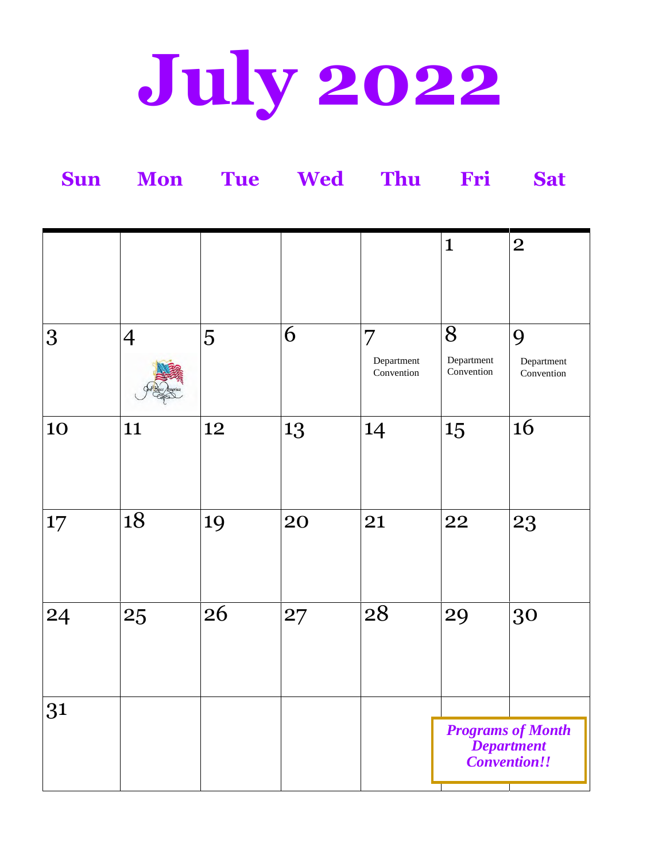# **July 2022**

| <b>Sun</b> | <b>Mon</b>     | <b>Tue</b> | Wed | Thu                                        | Fri                                                           | <b>Sat</b>                    |  |
|------------|----------------|------------|-----|--------------------------------------------|---------------------------------------------------------------|-------------------------------|--|
|            |                |            |     |                                            | $\mathbf{1}$                                                  | $\overline{2}$                |  |
| 3          | $\overline{4}$ | 5          | 6   | $\overline{7}$<br>Department<br>Convention | 8<br>Department<br>Convention                                 | 9<br>Department<br>Convention |  |
| 10         | 11             | 12         | 13  | 14                                         | 15                                                            | <b>16</b>                     |  |
| 17         | 18             | 19         | 20  | 21                                         | 22                                                            | 23                            |  |
| 24         | 25             | 26         | 27  | 28                                         | 29                                                            | 30                            |  |
| 31         |                |            |     |                                            | <b>Programs of Month</b><br><b>Department</b><br>Convention!! |                               |  |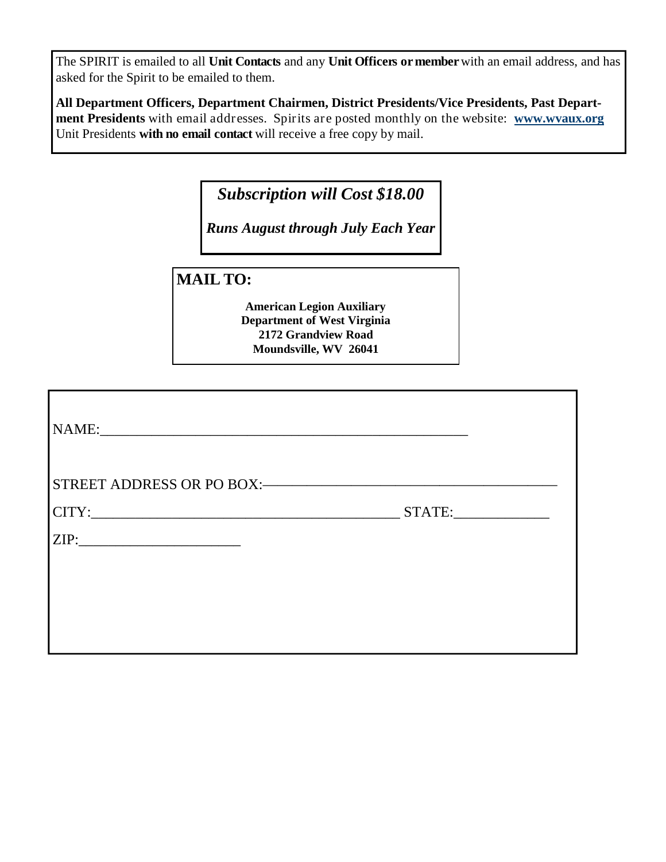The SPIRIT is emailed to all **Unit Contacts** and any **Unit Officers or member**with an email address, and has asked for the Spirit to be emailed to them.

**All Department Officers, Department Chairmen, District Presidents/Vice Presidents, Past Department Presidents** with email addresses. Spirits are posted monthly on the website: **www.wvaux.org** Unit Presidents **with no email contact** will receive a free copy by mail.

*Subscription will Cost \$18.00*

*Runs August through July Each Year*

**MAIL TO:**

**American Legion Auxiliary Department of West Virginia 2172 Grandview Road Moundsville, WV 26041**

| NAME: |        |
|-------|--------|
|       |        |
|       | STATE: |
| ZIP:  |        |
|       |        |
|       |        |
|       |        |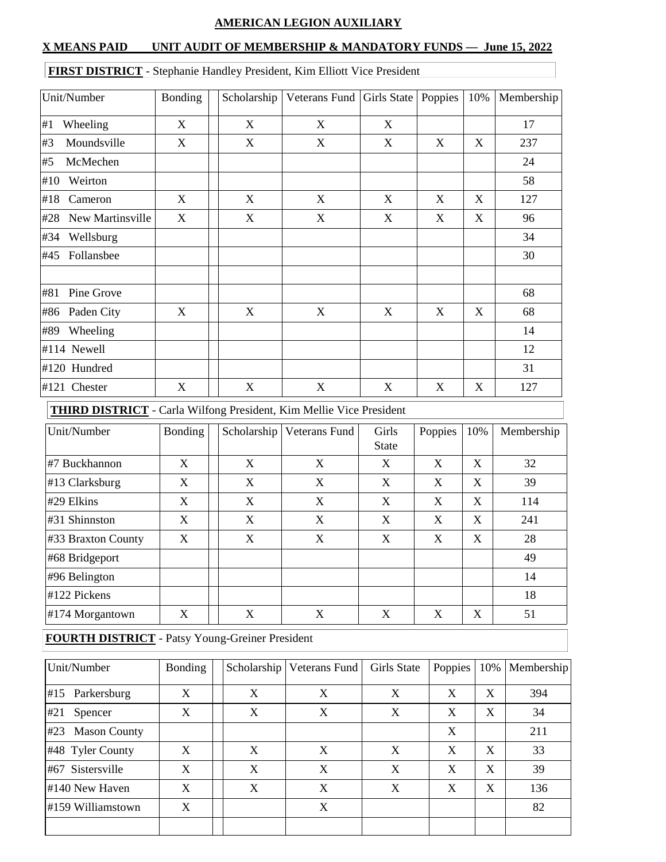#### **AMERICAN LEGION AUXILIARY**

#### **X MEANS PAID UNIT AUDIT OF MEMBERSHIP & MANDATORY FUNDS — June 15, 2022**

## Unit/Number Bonding Scholarship Veterans Fund Girls State Poppies 10% Membership #1 Wheeling X X X X 17 #3 Moundsville X X X X X X 237 #5 McMechen 24 #10 Weirton 58 #18 Cameron X X X X X X 127 #28 New Martinsville X X X X X X 96 #34 Wellsburg 34 #45 Follansbee | | | | | | | | | | | | | | 30 #81 Pine Grove 68 #86 Paden City X X X X X X 68 #89 Wheeling 14 #114 Newell 12 #120 Hundred 31 #121 Chester X X X X X X 127

#### **FIRST DISTRICT** - Stephanie Handley President, Kim Elliott Vice President

**THIRD DISTRICT** - Carla Wilfong President, Kim Mellie Vice President

| Unit/Number           | Bonding | Scholarship | Veterans Fund | Girls<br><b>State</b> | Poppies | 10% | Membership |
|-----------------------|---------|-------------|---------------|-----------------------|---------|-----|------------|
| #7 Buckhannon         | X       | X           | X             | X                     | X       | X   | 32         |
| $#13$ Clarksburg      | X       | X           | X             | X                     | X       | X   | 39         |
| $\#29$ Elkins         | X       | X           | X             | X                     | X       | X   | 114        |
| $\#31$ Shinnston      | X       | X           | X             | X                     | X       | X   | 241        |
| $\#33$ Braxton County | X       | X           | X             | X                     | X       | X   | 28         |
| #68 Bridgeport        |         |             |               |                       |         |     | 49         |
| $\#96$ Belington      |         |             |               |                       |         |     | 14         |
| $#122$ Pickens        |         |             |               |                       |         |     | 18         |
| #174 Morgantown       | X       | X           | X             | X                     | X       | X   | 51         |

#### **FOURTH DISTRICT** - Patsy Young-Greiner President

| Unit/Number                | Bonding |   | Scholarship   Veterans Fund | Girls State | Poppies | 10% | Membership |
|----------------------------|---------|---|-----------------------------|-------------|---------|-----|------------|
| #15 Parkersburg            | X       | X | X                           | X           | X       | X   | 394        |
| #21<br>Spencer             | X       | X | X                           | X           | X       | X   | 34         |
| #23<br><b>Mason County</b> |         |   |                             |             | X       |     | 211        |
| #48 Tyler County           | X       | X | X                           | X           | X       | X   | 33         |
| #67 Sistersville           | X       | X | X                           | X           | X       | X   | 39         |
| #140 New Haven             | X       | X | X                           | X           | X       | X   | 136        |
| #159 Williamstown          | X       |   | X                           |             |         |     | 82         |
|                            |         |   |                             |             |         |     |            |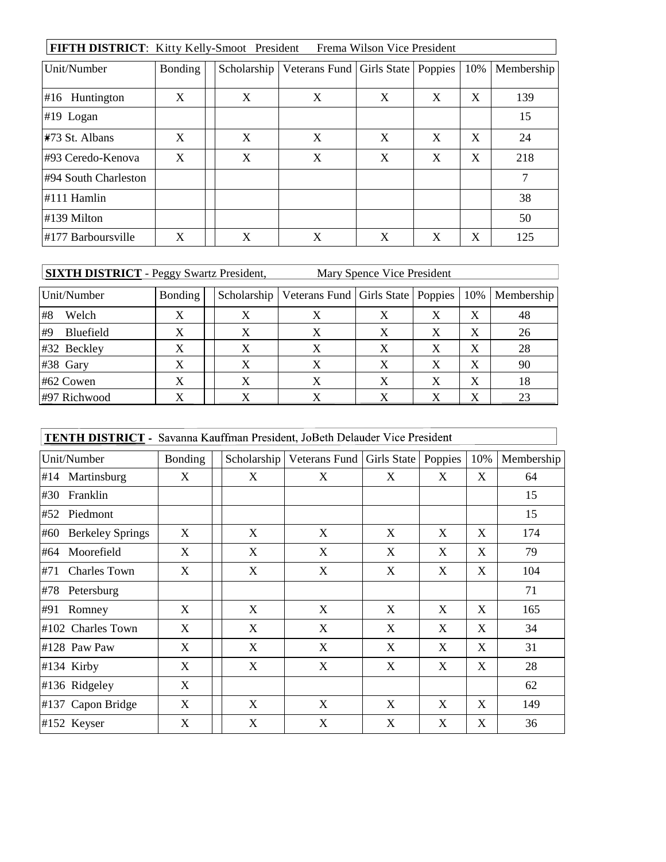| FIFTH DISTRICT: Kitty Kelly-Smoot President<br>Frema Wilson Vice President |                |  |             |                                       |   |   |              |            |
|----------------------------------------------------------------------------|----------------|--|-------------|---------------------------------------|---|---|--------------|------------|
| Unit/Number                                                                | <b>Bonding</b> |  | Scholarship | Veterans Fund   Girls State   Poppies |   |   | 10%          | Membership |
| #16<br>Huntington                                                          | X              |  | X           | X                                     | X | X | $\mathbf{X}$ | 139        |
| $#19$ Logan                                                                |                |  |             |                                       |   |   |              | 15         |
| #73 St. Albans                                                             | X              |  | X           | X                                     | X | X | X            | 24         |
| 1#93 Ceredo-Kenova                                                         | X              |  | X           | X                                     | X | X | X            | 218        |
| #94 South Charleston                                                       |                |  |             |                                       |   |   |              | 7          |
| $#111$ Hamlin                                                              |                |  |             |                                       |   |   |              | 38         |
| $\#139$ Milton                                                             |                |  |             |                                       |   |   |              | 50         |
| $\sharp$ 177 Barboursville                                                 | X              |  | X           | X                                     | X | X | X            | 125        |

| <b>SIXTH DISTRICT</b> - Peggy Swartz President, |         | Mary Spence Vice President |                                                     |   |   |     |            |
|-------------------------------------------------|---------|----------------------------|-----------------------------------------------------|---|---|-----|------------|
| Unit/Number                                     | Bonding |                            | Scholarship   Veterans Fund   Girls State   Poppies |   |   | 10% | Membership |
| #8<br>Welch                                     | X       |                            |                                                     | X | X | X   | 48         |
| Bluefield<br>#9                                 | X       | X                          | X                                                   | X | X | X   | 26         |
| #32 Beckley                                     |         |                            |                                                     |   |   | X   | 28         |
| #38 Gary                                        | X       |                            |                                                     | X | X | X   | 90         |
| #62 Cowen                                       | X       |                            |                                                     | X | X | X   | 18         |
| #97 Richwood                                    |         |                            |                                                     |   |   | Χ   | 23         |

| <b>TENTH DISTRICT - Savanna Kauffman President, JoBeth Delauder Vice President</b> |         |   |                                           |   |         |     |            |
|------------------------------------------------------------------------------------|---------|---|-------------------------------------------|---|---------|-----|------------|
| Unit/Number                                                                        | Bonding |   | Scholarship   Veterans Fund   Girls State |   | Poppies | 10% | Membership |
| $#14$ Martinsburg                                                                  | X       | X | X                                         | X | X       | X   | 64         |
| Franklin<br>#30                                                                    |         |   |                                           |   |         |     | 15         |
| #52 Piedmont                                                                       |         |   |                                           |   |         |     | 15         |
| #60 Berkeley Springs                                                               | X       | X | X                                         | X | X       | X   | 174        |
| Moorefield<br>#64                                                                  | X       | X | X                                         | X | X       | X   | 79         |
| <b>Charles Town</b><br>#71                                                         | X       | X | X                                         | X | X       | X   | 104        |
| $#78$ Petersburg                                                                   |         |   |                                           |   |         |     | 71         |
| #91<br>Romney                                                                      | X       | X | X                                         | X | X       | X   | 165        |
| #102 Charles Town                                                                  | X       | X | X                                         | X | X       | X   | 34         |
| $#128$ Paw Paw                                                                     | X       | X | X                                         | X | X       | X   | 31         |
| $#134$ Kirby                                                                       | X       | X | X                                         | X | X       | X   | 28         |
| #136 Ridgeley                                                                      | X       |   |                                           |   |         |     | 62         |
| #137 Capon Bridge                                                                  | X       | X | X                                         | X | X       | X   | 149        |
| #152 Keyser                                                                        | X       | X | X                                         | X | X       | X   | 36         |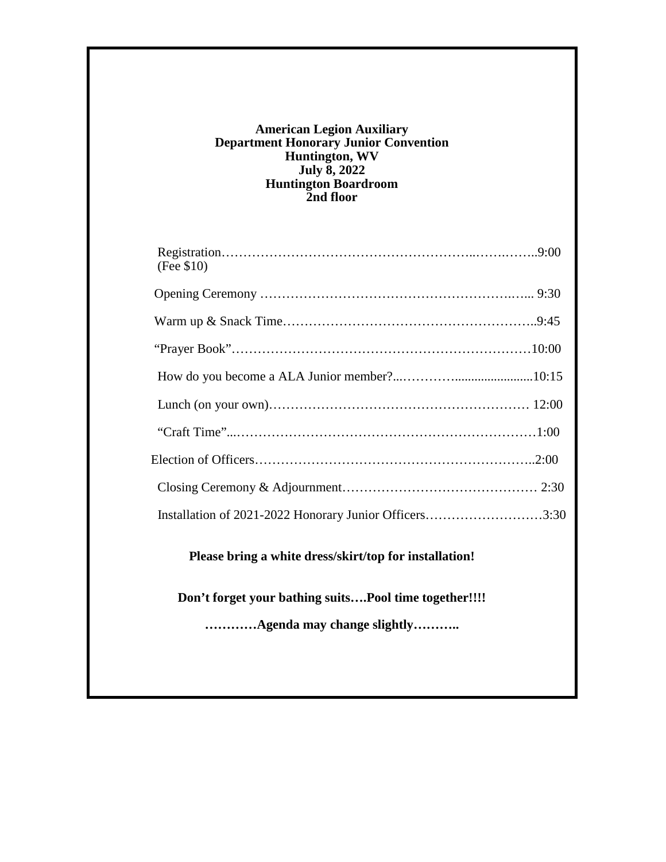#### **American Legion Auxiliary Department Honorary Junior Convention Huntington, WV July 8, 2022 Huntington Boardroom 2nd floor**

| (Fee \$10)                                             |  |
|--------------------------------------------------------|--|
|                                                        |  |
|                                                        |  |
|                                                        |  |
|                                                        |  |
|                                                        |  |
|                                                        |  |
|                                                        |  |
|                                                        |  |
| Installation of 2021-2022 Honorary Junior Officers3:30 |  |

**Please bring a white dress/skirt/top for installation!**

**Don't forget your bathing suits….Pool time together!!!!**

**…………Agenda may change slightly………..**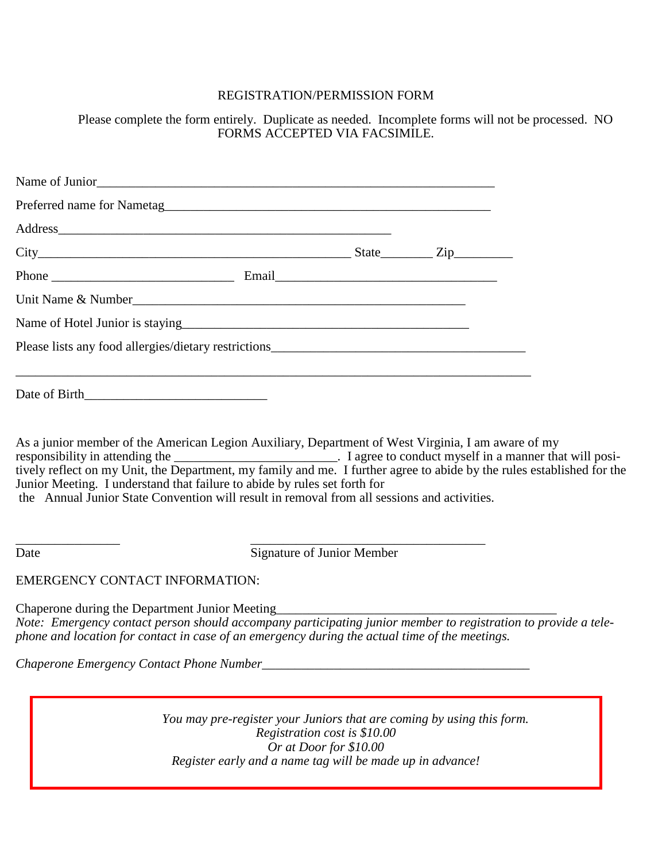#### REGISTRATION/PERMISSION FORM

Please complete the form entirely. Duplicate as needed. Incomplete forms will not be processed. NO FORMS ACCEPTED VIA FACSIMILE.

| $State$ $Zip$      |  |
|--------------------|--|
|                    |  |
| Unit Name & Number |  |
|                    |  |
|                    |  |
|                    |  |

As a junior member of the American Legion Auxiliary, Department of West Virginia, I am aware of my responsibility in attending the \_\_\_\_\_\_\_\_\_\_\_\_\_\_\_\_\_\_\_\_\_\_\_\_\_\_\_\_\_\_\_\_\_. I agree to conduct myself in a manner that will positively reflect on my Unit, the Department, my family and me. I further agree to abide by the rules established for the Junior Meeting. I understand that failure to abide by rules set forth for the Annual Junior State Convention will result in removal from all sessions and activities.

Date Signature of Junior Member

\_\_\_\_\_\_\_\_\_\_\_\_\_\_\_\_ \_\_\_\_\_\_\_\_\_\_\_\_\_\_\_\_\_\_\_\_\_\_\_\_\_\_\_\_\_\_\_\_\_\_\_\_

EMERGENCY CONTACT INFORMATION:

Chaperone during the Department Junior Meeting *Note: Emergency contact person should accompany participating junior member to registration to provide a telephone and location for contact in case of an emergency during the actual time of the meetings.*

*Chaperone Emergency Contact Phone Number\_\_\_\_\_\_\_\_\_\_\_\_\_\_\_\_\_\_\_\_\_\_\_\_\_\_\_\_\_\_\_\_\_\_\_\_\_\_\_\_\_*

*You may pre-register your Juniors that are coming by using this form. Registration cost is \$10.00 Or at Door for \$10.00 Register early and a name tag will be made up in advance!*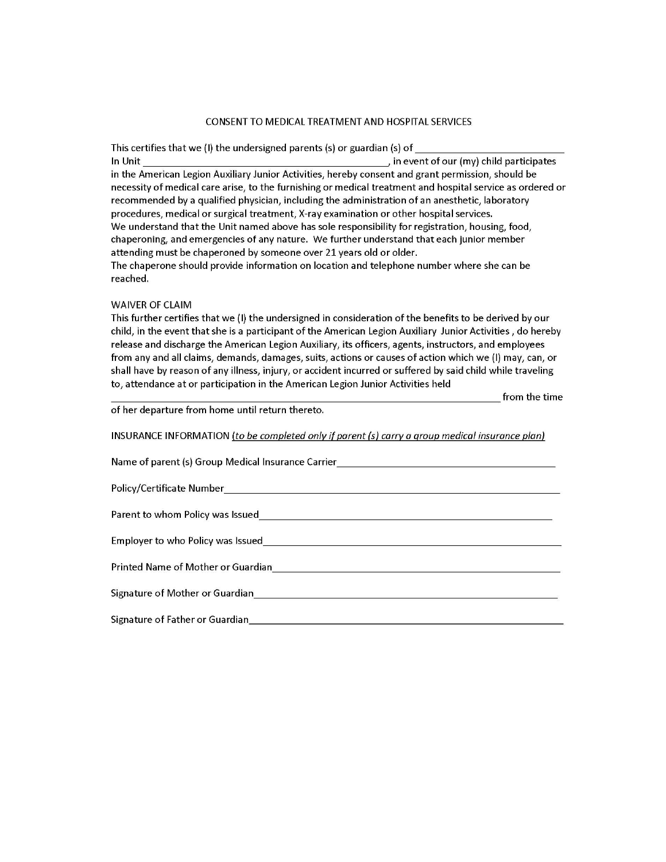#### CONSENT TO MEDICAL TREATMENT AND HOSPITAL SERVICES

This certifies that we (I) the undersigned parents (s) or guardian (s) of , in event of our (my) child participates In Unit in the American Legion Auxiliary Junior Activities, hereby consent and grant permission, should be necessity of medical care arise, to the furnishing or medical treatment and hospital service as ordered or recommended by a qualified physician, including the administration of an anesthetic, laboratory procedures, medical or surgical treatment, X-ray examination or other hospital services. We understand that the Unit named above has sole responsibility for registration, housing, food, chaperoning, and emergencies of any nature. We further understand that each junior member attending must be chaperoned by someone over 21 years old or older. The chaperone should provide information on location and telephone number where she can be reached.

#### **WAIVER OF CLAIM**

This further certifies that we (I) the undersigned in consideration of the benefits to be derived by our child, in the event that she is a participant of the American Legion Auxiliary Junior Activities, do hereby release and discharge the American Legion Auxiliary, its officers, agents, instructors, and employees from any and all claims, demands, damages, suits, actions or causes of action which we (I) may, can, or shall have by reason of any illness, injury, or accident incurred or suffered by said child while traveling to, attendance at or participation in the American Legion Junior Activities held

from the time

of her departure from home until return thereto.

INSURANCE INFORMATION (to be completed only if parent (s) carry a group medical insurance plan)

| Name of parent (s) Group Medical Insurance Carrier                                                                                                                                                                             |  |  |
|--------------------------------------------------------------------------------------------------------------------------------------------------------------------------------------------------------------------------------|--|--|
| Policy/Certificate Number                                                                                                                                                                                                      |  |  |
| Parent to whom Policy was Issued and the contract of the contract of the contract of the contract of the contract of the contract of the contract of the contract of the contract of the contract of the contract of the contr |  |  |
| Employer to who Policy was Issued                                                                                                                                                                                              |  |  |
| Printed Name of Mother or Guardian Name of The State of The State of The State of The State of The State of Th                                                                                                                 |  |  |
| Signature of Mother or Guardian Manuscript Communication of Mother or Guardian                                                                                                                                                 |  |  |
| Signature of Father or Guardian                                                                                                                                                                                                |  |  |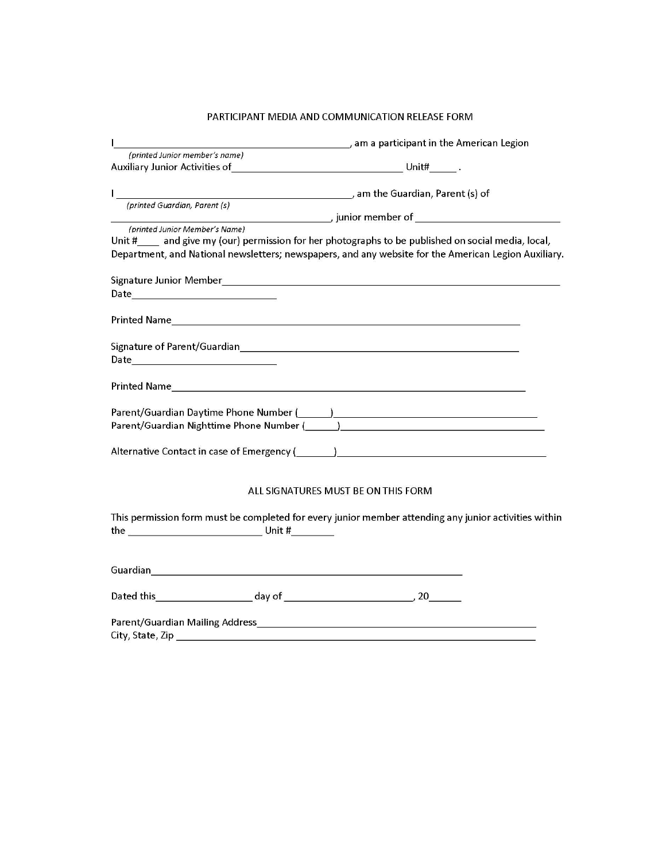#### PARTICIPANT MEDIA AND COMMUNICATION RELEASE FORM

| am a participant in the American Legion (1996) and a participant in the American Legion<br>L                   |  |
|----------------------------------------------------------------------------------------------------------------|--|
| (printed Junior member's name)                                                                                 |  |
|                                                                                                                |  |
|                                                                                                                |  |
| (printed Guardian, Parent (s)                                                                                  |  |
|                                                                                                                |  |
| (printed Junior Member's Name)                                                                                 |  |
| Unit # ___ and give my (our) permission for her photographs to be published on social media, local,            |  |
| Department, and National newsletters; newspapers, and any website for the American Legion Auxiliary.           |  |
|                                                                                                                |  |
|                                                                                                                |  |
|                                                                                                                |  |
|                                                                                                                |  |
|                                                                                                                |  |
|                                                                                                                |  |
|                                                                                                                |  |
|                                                                                                                |  |
|                                                                                                                |  |
| Parent/Guardian Daytime Phone Number (1998) 2020 12:20 12:20 12:20 12:20 12:20 12:20 12:20 12:20 12:20 12:20 1 |  |
|                                                                                                                |  |
|                                                                                                                |  |
| Alternative Contact in case of Emergency (Superior Contract of Contract of Contract of Contract of Contract of |  |
|                                                                                                                |  |
|                                                                                                                |  |
| ALL SIGNATURES MUST BE ON THIS FORM                                                                            |  |
|                                                                                                                |  |
| This permission form must be completed for every junior member attending any junior activities within          |  |
| $the _______$                                                                                                  |  |
|                                                                                                                |  |
|                                                                                                                |  |
|                                                                                                                |  |
|                                                                                                                |  |
|                                                                                                                |  |
|                                                                                                                |  |
|                                                                                                                |  |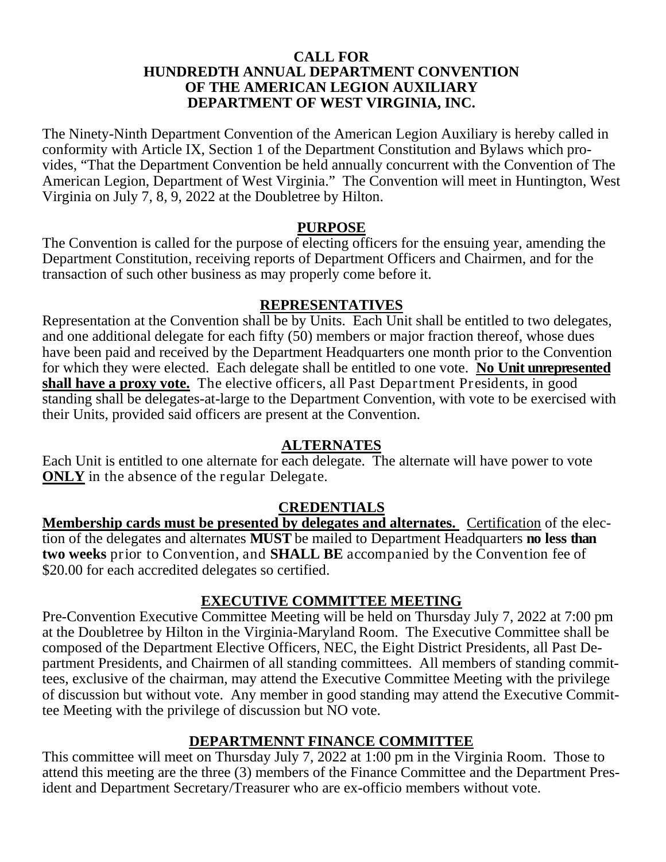#### **CALL FOR HUNDREDTH ANNUAL DEPARTMENT CONVENTION OF THE AMERICAN LEGION AUXILIARY DEPARTMENT OF WEST VIRGINIA, INC.**

The Ninety-Ninth Department Convention of the American Legion Auxiliary is hereby called in conformity with Article IX, Section 1 of the Department Constitution and Bylaws which provides, "That the Department Convention be held annually concurrent with the Convention of The American Legion, Department of West Virginia." The Convention will meet in Huntington, West Virginia on July 7, 8, 9, 2022 at the Doubletree by Hilton.

#### **PURPOSE**

The Convention is called for the purpose of electing officers for the ensuing year, amending the Department Constitution, receiving reports of Department Officers and Chairmen, and for the transaction of such other business as may properly come before it.

#### **REPRESENTATIVES**

Representation at the Convention shall be by Units. Each Unit shall be entitled to two delegates, and one additional delegate for each fifty (50) members or major fraction thereof, whose dues have been paid and received by the Department Headquarters one month prior to the Convention for which they were elected. Each delegate shall be entitled to one vote. **No Unit unrepresented shall have a proxy vote.** The elective officers, all Past Department Presidents, in good standing shall be delegates-at-large to the Department Convention, with vote to be exercised with their Units, provided said officers are present at the Convention.

#### **ALTERNATES**

Each Unit is entitled to one alternate for each delegate. The alternate will have power to vote **ONLY** in the absence of the regular Delegate.

#### **CREDENTIALS**

**Membership cards must be presented by delegates and alternates.** Certification of the election of the delegates and alternates **MUST** be mailed to Department Headquarters **no less than two weeks** prior to Convention, and **SHALL BE** accompanied by the Convention fee of \$20.00 for each accredited delegates so certified.

#### **EXECUTIVE COMMITTEE MEETING**

Pre-Convention Executive Committee Meeting will be held on Thursday July 7, 2022 at 7:00 pm at the Doubletree by Hilton in the Virginia-Maryland Room. The Executive Committee shall be composed of the Department Elective Officers, NEC, the Eight District Presidents, all Past Department Presidents, and Chairmen of all standing committees. All members of standing committees, exclusive of the chairman, may attend the Executive Committee Meeting with the privilege of discussion but without vote. Any member in good standing may attend the Executive Committee Meeting with the privilege of discussion but NO vote.

## **DEPARTMENNT FINANCE COMMITTEE**

This committee will meet on Thursday July 7, 2022 at 1:00 pm in the Virginia Room. Those to attend this meeting are the three (3) members of the Finance Committee and the Department President and Department Secretary/Treasurer who are ex-officio members without vote.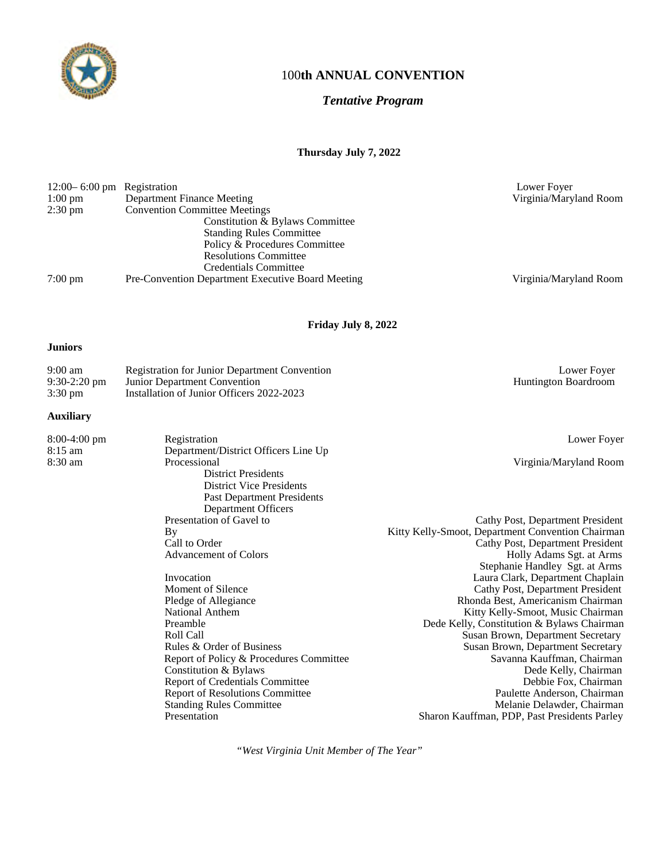

#### 100**th ANNUAL CONVENTION**

#### *Tentative Program*

#### **Thursday July 7, 2022**

| $12:00 - 6:00$ pm Registration |                                                          | Lower Foyer            |
|--------------------------------|----------------------------------------------------------|------------------------|
| $1:00 \text{ pm}$              | Department Finance Meeting                               | Virginia/Maryland Room |
| $2:30 \text{ pm}$              | <b>Convention Committee Meetings</b>                     |                        |
|                                | Constitution & Bylaws Committee                          |                        |
|                                | <b>Standing Rules Committee</b>                          |                        |
|                                | Policy & Procedures Committee                            |                        |
|                                | <b>Resolutions Committee</b>                             |                        |
|                                | Credentials Committee                                    |                        |
| $7:00 \text{ pm}$              | <b>Pre-Convention Department Executive Board Meeting</b> | Virginia/Maryland Room |
|                                |                                                          |                        |

**Friday July 8, 2022**

#### **Juniors**

| $9:00 \text{ am}$ | <b>Registration for Junior Department Convention</b> | Lower Fover                 |
|-------------------|------------------------------------------------------|-----------------------------|
| $9:30-2:20$ pm    | <b>Junior Department Convention</b>                  | <b>Huntington Boardroom</b> |
| $3:30 \text{ pm}$ | Installation of Junior Officers 2022-2023            |                             |

#### **Auxiliary**

| $8:00-4:00$ pm | Registration                            | Lower Foyer                                       |
|----------------|-----------------------------------------|---------------------------------------------------|
| $8:15$ am      | Department/District Officers Line Up    |                                                   |
| 8:30 am        | Processional                            | Virginia/Maryland Room                            |
|                | <b>District Presidents</b>              |                                                   |
|                | <b>District Vice Presidents</b>         |                                                   |
|                | <b>Past Department Presidents</b>       |                                                   |
|                | Department Officers                     |                                                   |
|                | Presentation of Gavel to                | Cathy Post, Department President                  |
|                | By                                      | Kitty Kelly-Smoot, Department Convention Chairman |
|                | Call to Order                           | Cathy Post, Department President                  |
|                | <b>Advancement of Colors</b>            | Holly Adams Sgt. at Arms                          |
|                |                                         | Stephanie Handley Sgt. at Arms                    |
|                | Invocation                              | Laura Clark, Department Chaplain                  |
|                | Moment of Silence                       | Cathy Post, Department President                  |
|                | Pledge of Allegiance                    | Rhonda Best, Americanism Chairman                 |
|                | National Anthem                         | Kitty Kelly-Smoot, Music Chairman                 |
|                | Preamble                                | Dede Kelly, Constitution & Bylaws Chairman        |
|                | Roll Call                               | Susan Brown, Department Secretary                 |
|                | Rules & Order of Business               | Susan Brown, Department Secretary                 |
|                | Report of Policy & Procedures Committee | Savanna Kauffman, Chairman                        |
|                | Constitution & Bylaws                   | Dede Kelly, Chairman                              |
|                | Report of Credentials Committee         | Debbie Fox, Chairman                              |
|                | <b>Report of Resolutions Committee</b>  | Paulette Anderson, Chairman                       |

Standing Rules Committee **Melanie Delawder, Chairman** Presentation Sharon Kauffman, PDP, Past Presidents Parley

*"West Virginia Unit Member of The Year"*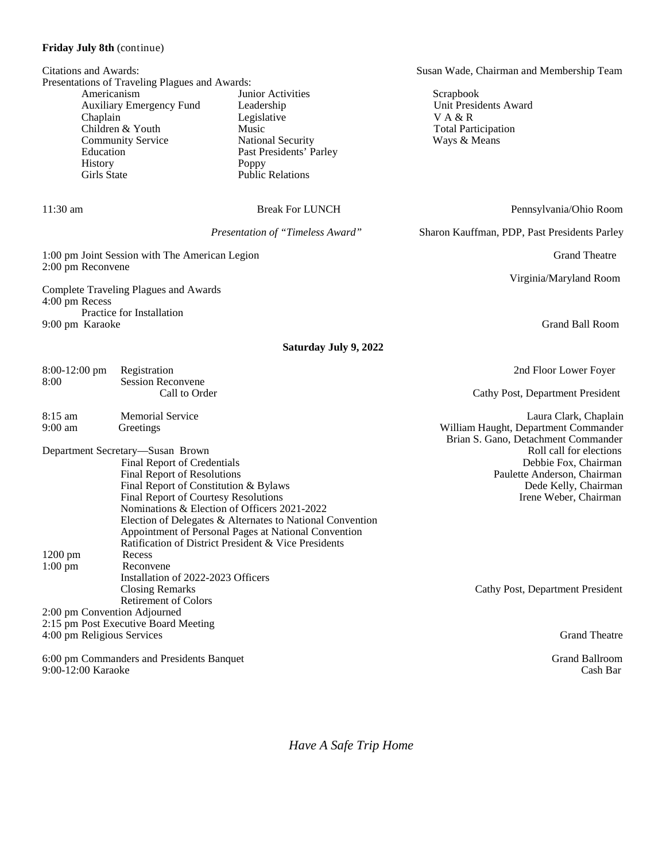#### **Friday July 8th** (continue)

| Citations and Awards:<br>Presentations of Traveling Plagues and Awards:                                                                                                                                                                                                                                                                                                                                      |                                                                                                                                                    |                                                                                                                                                    | Susan Wade, Chairman and Membership Team                                                             |  |
|--------------------------------------------------------------------------------------------------------------------------------------------------------------------------------------------------------------------------------------------------------------------------------------------------------------------------------------------------------------------------------------------------------------|----------------------------------------------------------------------------------------------------------------------------------------------------|----------------------------------------------------------------------------------------------------------------------------------------------------|------------------------------------------------------------------------------------------------------|--|
| Americanism<br>Chaplain<br>Education<br>History<br><b>Girls State</b>                                                                                                                                                                                                                                                                                                                                        | Auxiliary Emergency Fund<br>Children & Youth<br><b>Community Service</b>                                                                           | Junior Activities<br>Leadership<br>Legislative<br>Music<br><b>National Security</b><br>Past Presidents' Parley<br>Poppy<br><b>Public Relations</b> | Scrapbook<br>Unit Presidents Award<br>VA & R<br><b>Total Participation</b><br>Ways & Means           |  |
| $11:30$ am                                                                                                                                                                                                                                                                                                                                                                                                   |                                                                                                                                                    | <b>Break For LUNCH</b>                                                                                                                             | Pennsylvania/Ohio Room                                                                               |  |
|                                                                                                                                                                                                                                                                                                                                                                                                              |                                                                                                                                                    | Presentation of "Timeless Award"                                                                                                                   | Sharon Kauffman, PDP, Past Presidents Parley                                                         |  |
| 2:00 pm Reconvene                                                                                                                                                                                                                                                                                                                                                                                            | 1:00 pm Joint Session with The American Legion                                                                                                     |                                                                                                                                                    | <b>Grand Theatre</b>                                                                                 |  |
| 4:00 pm Recess                                                                                                                                                                                                                                                                                                                                                                                               | Complete Traveling Plagues and Awards                                                                                                              |                                                                                                                                                    | Virginia/Maryland Room                                                                               |  |
| 9:00 pm Karaoke                                                                                                                                                                                                                                                                                                                                                                                              | Practice for Installation                                                                                                                          |                                                                                                                                                    | <b>Grand Ball Room</b>                                                                               |  |
|                                                                                                                                                                                                                                                                                                                                                                                                              |                                                                                                                                                    | Saturday July 9, 2022                                                                                                                              |                                                                                                      |  |
| $8:00-12:00$ pm                                                                                                                                                                                                                                                                                                                                                                                              | Registration                                                                                                                                       |                                                                                                                                                    | 2nd Floor Lower Foyer                                                                                |  |
| 8:00                                                                                                                                                                                                                                                                                                                                                                                                         | <b>Session Reconvene</b><br>Call to Order                                                                                                          |                                                                                                                                                    | Cathy Post, Department President                                                                     |  |
| 8:15 am<br>$9:00$ am                                                                                                                                                                                                                                                                                                                                                                                         | <b>Memorial Service</b><br>Greetings                                                                                                               |                                                                                                                                                    | Laura Clark, Chaplain<br>William Haught, Department Commander<br>Brian S. Gano, Detachment Commander |  |
| Department Secretary-Susan Brown<br>Final Report of Credentials<br>Final Report of Resolutions<br>Final Report of Constitution & Bylaws<br>Final Report of Courtesy Resolutions<br>Nominations & Election of Officers 2021-2022<br>Election of Delegates & Alternates to National Convention<br>Appointment of Personal Pages at National Convention<br>Ratification of District President & Vice Presidents |                                                                                                                                                    | Roll call for elections<br>Debbie Fox, Chairman<br>Paulette Anderson, Chairman<br>Dede Kelly, Chairman<br>Irene Weber, Chairman                    |                                                                                                      |  |
| 1200 pm<br>$1:00$ pm                                                                                                                                                                                                                                                                                                                                                                                         | Recess<br>Reconvene<br>Installation of 2022-2023 Officers<br><b>Closing Remarks</b><br><b>Retirement of Colors</b><br>2:00 pm Convention Adjourned |                                                                                                                                                    | Cathy Post, Department President                                                                     |  |
| 4:00 pm Religious Services                                                                                                                                                                                                                                                                                                                                                                                   | 2:15 pm Post Executive Board Meeting                                                                                                               |                                                                                                                                                    | <b>Grand Theatre</b>                                                                                 |  |
| 9:00-12:00 Karaoke                                                                                                                                                                                                                                                                                                                                                                                           | 6:00 pm Commanders and Presidents Banquet                                                                                                          |                                                                                                                                                    | <b>Grand Ballroom</b><br>Cash Bar                                                                    |  |

*Have A Safe Trip Home*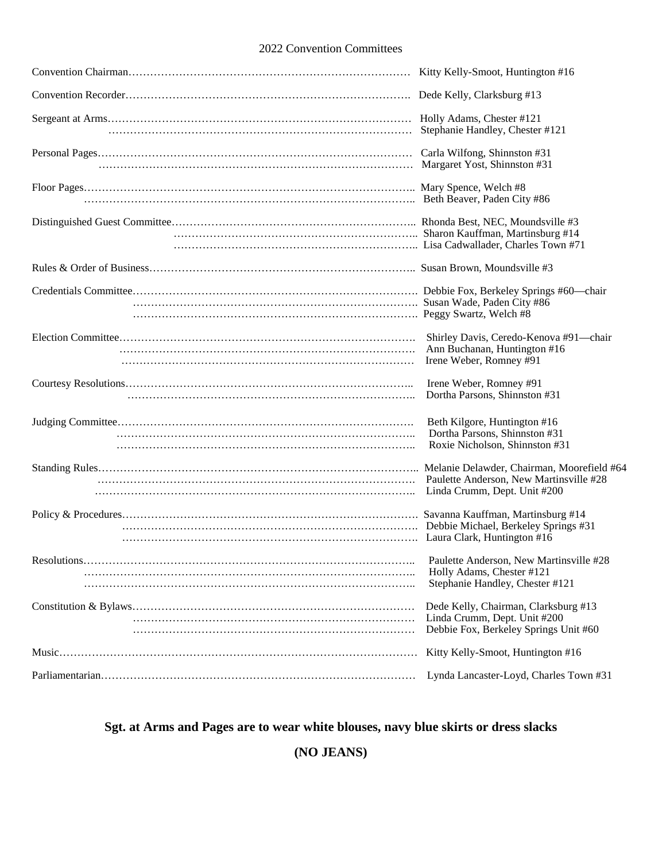#### 2022 Convention Committees

| Kitty Kelly-Smoot, Huntington #16                                                                                     |
|-----------------------------------------------------------------------------------------------------------------------|
| Dede Kelly, Clarksburg #13                                                                                            |
| Stephanie Handley, Chester #121                                                                                       |
|                                                                                                                       |
|                                                                                                                       |
|                                                                                                                       |
|                                                                                                                       |
|                                                                                                                       |
| Shirley Davis, Ceredo-Kenova #91-chair<br>Ann Buchanan, Huntington #16<br>Irene Weber, Romney #91                     |
| Irene Weber, Romney #91<br>Dortha Parsons, Shinnston #31                                                              |
| Beth Kilgore, Huntington #16<br>Dortha Parsons, Shinnston #31<br>Roxie Nicholson, Shinnston #31                       |
| Melanie Delawder, Chairman, Moorefield #64<br>Paulette Anderson, New Martinsville #28<br>Linda Crumm, Dept. Unit #200 |
| Savanna Kauffman, Martinsburg #14<br>Debbie Michael, Berkeley Springs #31                                             |
| Paulette Anderson, New Martinsville #28<br>Holly Adams, Chester #121<br>Stephanie Handley, Chester #121               |
| Dede Kelly, Chairman, Clarksburg #13<br>Linda Crumm, Dept. Unit #200<br>Debbie Fox, Berkeley Springs Unit #60         |
| Kitty Kelly-Smoot, Huntington #16                                                                                     |
| Lynda Lancaster-Loyd, Charles Town #31                                                                                |

## **Sgt. at Arms and Pages are to wear white blouses, navy blue skirts or dress slacks**

**(NO JEANS)**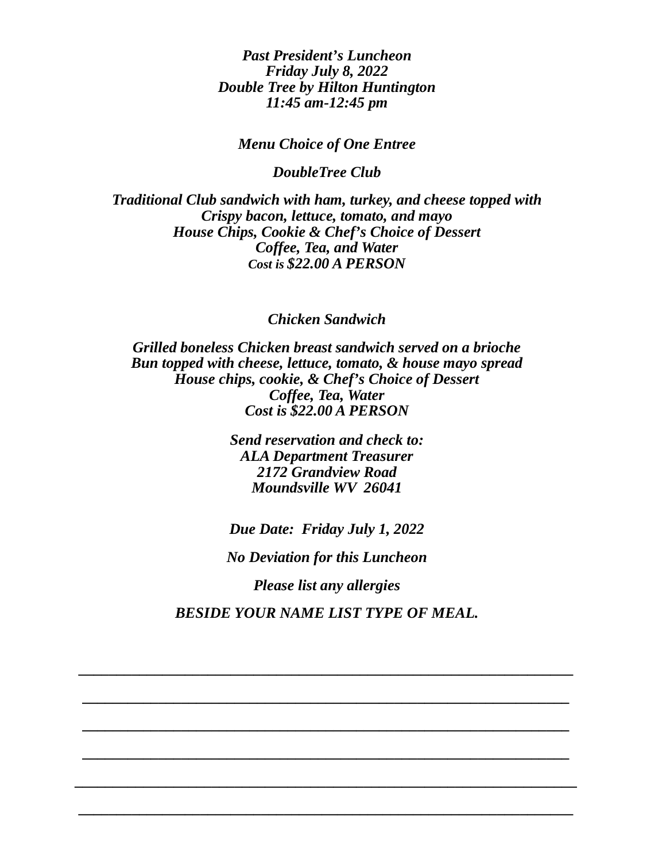*Past President's Luncheon Friday July 8, 2022 Double Tree by Hilton Huntington 11:45 am-12:45 pm*

*Menu Choice of One Entree*

*DoubleTree Club*

*Traditional Club sandwich with ham, turkey, and cheese topped with Crispy bacon, lettuce, tomato, and mayo House Chips, Cookie & Chef's Choice of Dessert Coffee, Tea, and Water Cost is \$22.00 A PERSON*

*Chicken Sandwich*

*Grilled boneless Chicken breast sandwich served on a brioche Bun topped with cheese, lettuce, tomato, & house mayo spread House chips, cookie, & Chef's Choice of Dessert Coffee, Tea, Water Cost is \$22.00 A PERSON*

> *Send reservation and check to: ALA Department Treasurer 2172 Grandview Road Moundsville WV 26041*

*Due Date: Friday July 1, 2022 No Deviation for this Luncheon Please list any allergies BESIDE YOUR NAME LIST TYPE OF MEAL.*

*\_\_\_\_\_\_\_\_\_\_\_\_\_\_\_\_\_\_\_\_\_\_\_\_\_\_\_\_\_\_\_\_\_\_\_\_\_\_\_\_\_\_\_\_\_\_\_\_\_\_\_\_\_\_\_\_\_\_\_\_\_\_\_\_\_*

*\_\_\_\_\_\_\_\_\_\_\_\_\_\_\_\_\_\_\_\_\_\_\_\_\_\_\_\_\_\_\_\_\_\_\_\_\_\_\_\_\_\_\_\_\_\_\_\_\_\_\_\_\_\_\_\_\_\_\_\_\_\_\_\_*

*\_\_\_\_\_\_\_\_\_\_\_\_\_\_\_\_\_\_\_\_\_\_\_\_\_\_\_\_\_\_\_\_\_\_\_\_\_\_\_\_\_\_\_\_\_\_\_\_\_\_\_\_\_\_\_\_\_\_\_\_\_\_\_\_*

*\_\_\_\_\_\_\_\_\_\_\_\_\_\_\_\_\_\_\_\_\_\_\_\_\_\_\_\_\_\_\_\_\_\_\_\_\_\_\_\_\_\_\_\_\_\_\_\_\_\_\_\_\_\_\_\_\_\_\_\_\_\_\_\_*

*\_\_\_\_\_\_\_\_\_\_\_\_\_\_\_\_\_\_\_\_\_\_\_\_\_\_\_\_\_\_\_\_\_\_\_\_\_\_\_\_\_\_\_\_\_\_\_\_\_\_\_\_\_\_\_\_\_\_\_\_\_\_\_\_\_\_*

*\_\_\_\_\_\_\_\_\_\_\_\_\_\_\_\_\_\_\_\_\_\_\_\_\_\_\_\_\_\_\_\_\_\_\_\_\_\_\_\_\_\_\_\_\_\_\_\_\_\_\_\_\_\_\_\_\_\_\_\_\_\_\_\_\_*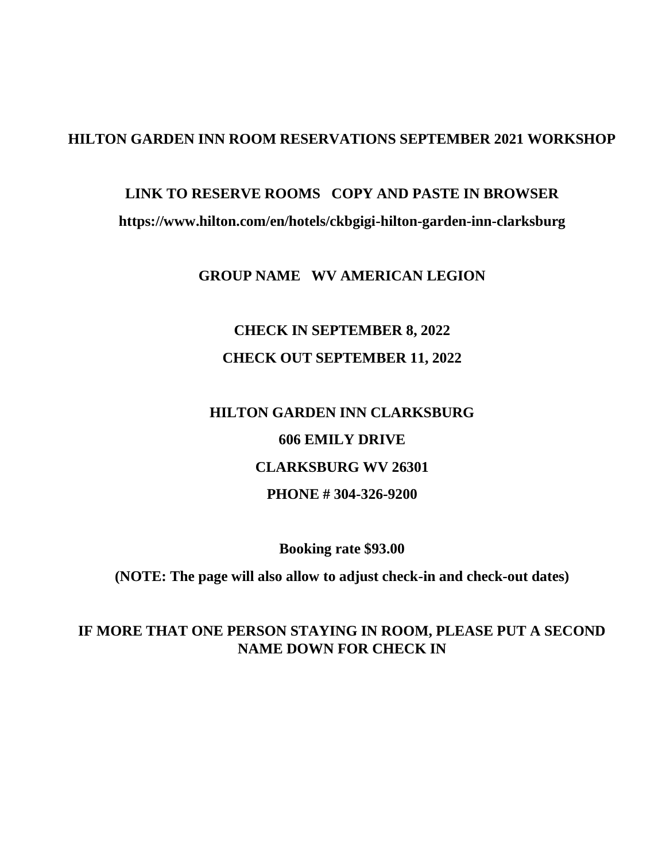## **HILTON GARDEN INN ROOM RESERVATIONS SEPTEMBER 2021 WORKSHOP**

# **LINK TO RESERVE ROOMS COPY AND PASTE IN BROWSER**

#### **https://www.hilton.com/en/hotels/ckbgigi-hilton-garden-inn-clarksburg**

#### **GROUP NAME WV AMERICAN LEGION**

# **CHECK IN SEPTEMBER 8, 2022 CHECK OUT SEPTEMBER 11, 2022**

# **HILTON GARDEN INN CLARKSBURG 606 EMILY DRIVE CLARKSBURG WV 26301 PHONE # 304-326-9200**

**Booking rate \$93.00**

**(NOTE: The page will also allow to adjust check-in and check-out dates)**

## **IF MORE THAT ONE PERSON STAYING IN ROOM, PLEASE PUT A SECOND NAME DOWN FOR CHECK IN**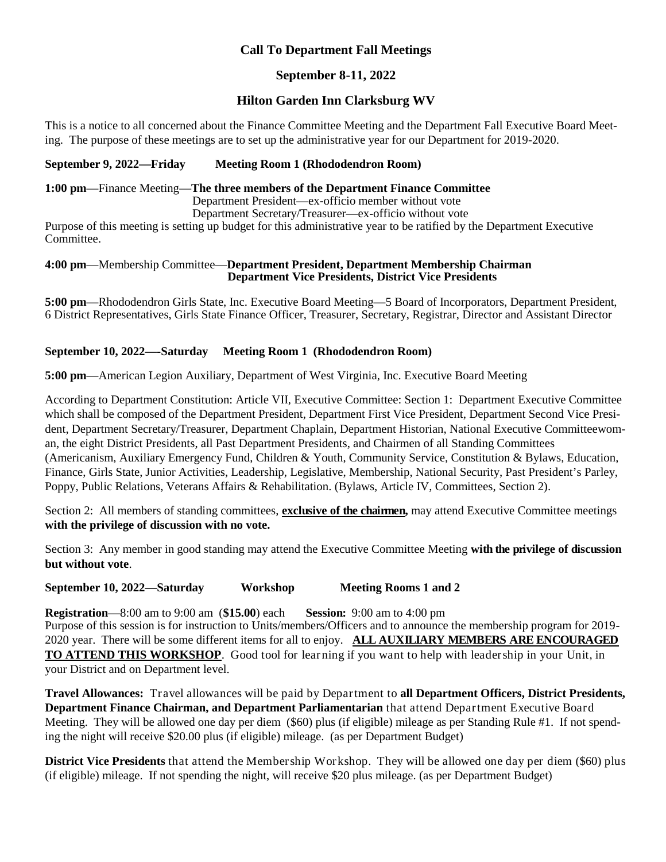#### **Call To Department Fall Meetings**

#### **September 8-11, 2022**

#### **Hilton Garden Inn Clarksburg WV**

This is a notice to all concerned about the Finance Committee Meeting and the Department Fall Executive Board Meeting. The purpose of these meetings are to set up the administrative year for our Department for 2019-2020.

#### September 9, 2022—Friday Meeting Room 1 (Rhododendron Room)

#### **1:00 pm**—Finance Meeting—**The three members of the Department Finance Committee**

Department President—ex-officio member without vote

Department Secretary/Treasurer—ex-officio without vote Purpose of this meeting is setting up budget for this administrative year to be ratified by the Department Executive

Committee.

#### **4:00 pm**—Membership Committee—**Department President, Department Membership Chairman Department Vice Presidents, District Vice Presidents**

**5:00 pm**—Rhododendron Girls State, Inc. Executive Board Meeting—5 Board of Incorporators, Department President, 6 District Representatives, Girls State Finance Officer, Treasurer, Secretary, Registrar, Director and Assistant Director

#### **September 10, 2022—-Saturday Meeting Room 1 (Rhododendron Room)**

**5:00 pm**—American Legion Auxiliary, Department of West Virginia, Inc. Executive Board Meeting

According to Department Constitution: Article VII, Executive Committee: Section 1: Department Executive Committee which shall be composed of the Department President, Department First Vice President, Department Second Vice President, Department Secretary/Treasurer, Department Chaplain, Department Historian, National Executive Committeewoman, the eight District Presidents, all Past Department Presidents, and Chairmen of all Standing Committees (Americanism, Auxiliary Emergency Fund, Children & Youth, Community Service, Constitution & Bylaws, Education, Finance, Girls State, Junior Activities, Leadership, Legislative, Membership, National Security, Past President's Parley, Poppy, Public Relations, Veterans Affairs & Rehabilitation. (Bylaws, Article IV, Committees, Section 2).

Section 2: All members of standing committees, **exclusive of the chairmen,** may attend Executive Committee meetings **with the privilege of discussion with no vote.**

Section 3: Any member in good standing may attend the Executive Committee Meeting **with the privilege of discussion but without vote**.

**September 10, 2022—Saturday Workshop Meeting Rooms 1 and 2**

**Registration**—8:00 am to 9:00 am (**\$15.00**) each **Session:** 9:00 am to 4:00 pm Purpose of this session is for instruction to Units/members/Officers and to announce the membership program for 2019- 2020 year. There will be some different items for all to enjoy. **ALL AUXILIARY MEMBERS ARE ENCOURAGED TO ATTEND THIS WORKSHOP**. Good tool for learning if you want to help with leadership in your Unit, in

your District and on Department level.

**Travel Allowances:** Travel allowances will be paid by Department to **all Department Officers, District Presidents, Department Finance Chairman, and Department Parliamentarian** that attend Department Executive Board Meeting. They will be allowed one day per diem (\$60) plus (if eligible) mileage as per Standing Rule #1. If not spending the night will receive \$20.00 plus (if eligible) mileage. (as per Department Budget)

**District Vice Presidents** that attend the Membership Workshop. They will be allowed one day per diem (\$60) plus (if eligible) mileage. If not spending the night, will receive \$20 plus mileage. (as per Department Budget)